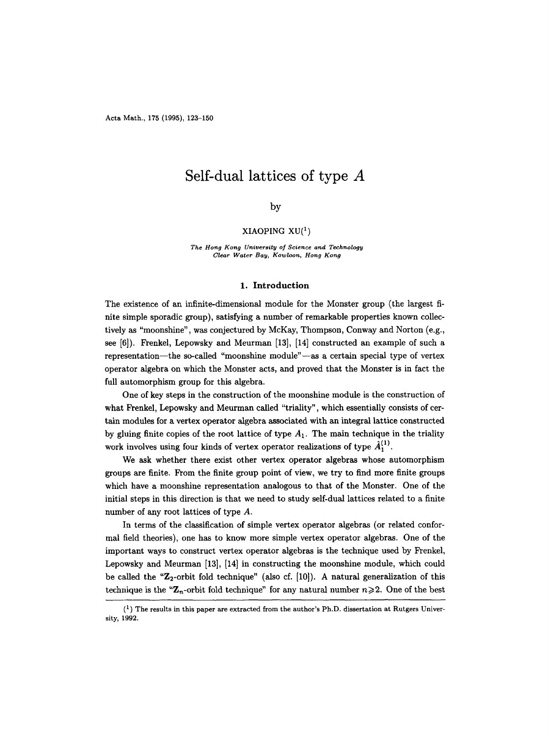Acta Math., 175 (1995), 123-150

# **Self-dual lattices of type A**

# by

### XIAOPING  $XU(1)$

*The Hong Kong University of Science and Technology Clear Water Bay, Kowloon, Hong Kong* 

### **1. Introduction**

The existence of an infinite-dimensional module for the Monster group (the largest finite simple sporadic group), satisfying a number of remarkable properties known collectively as "moonshine", was conjectured by McKay, Thompson, Conway and Norton (e.g., see [6]). Frenkel, Lepowsky and Meurman [13], [14] constructed an example of such a representation--the so-called "moonshine module"--as a certain special type of vertex operator algebra on which the Monster acts, and proved that the Monster is in fact the full automorphism group for this algebra.

One of key steps in the construction of the moonshine module is the construction of what Frenkel, Lepowsky and Meurman called "triality", which essentially consists of certain modules for a vertex operator algebra associated with an integral lattice constructed by gluing finite copies of the root lattice of type  $A_1$ . The main technique in the triality work involves using four kinds of vertex operator realizations of type  $\hat{A}_1^{(1)}$ .

We ask whether there exist other vertex operator algebras whose automorphism groups are finite. From the finite group point of view, we try to find more finite groups which have a moonshine representation analogous to that of the Monster. One of the initial steps in this direction is that we need to study self-dual lattices related to a finite number of any root lattices of type A.

In terms of the classification of simple vertex operator algebras (or related conformal field theories), one has to know more simple vertex operator algebras. One of the important ways to construct vertex operator algebras is the technique used by Frenkel, Lepowsky and Meurman [13], [14] in constructing the moonshine module, which could be called the " $\mathbb{Z}_2$ -orbit fold technique" (also cf. [10]). A natural generalization of this technique is the " $\mathbb{Z}_n$ -orbit fold technique" for any natural number  $n \geq 2$ . One of the best

 $\binom{1}{k}$  The results in this paper are extracted from the author's Ph.D. dissertation at Rutgers University, 1992.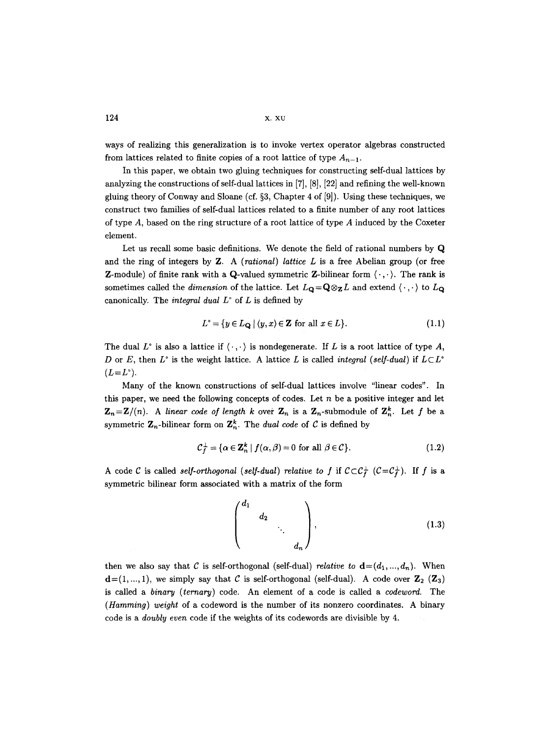$124$  x.  $xy$ 

ways of realizing this generalization is to invoke vertex operator algebras constructed from lattices related to finite copies of a root lattice of type  $A_{n-1}$ .

In this paper, we obtain two gluing techniques for constructing self-dual lattices by analyzing the constructions of self-dual lattices in [7], [8], [22] and refining the well-known gluing theory of Conway and Sloane (cf.  $\S 3$ , Chapter 4 of [9]). Using these techniques, we construct two families of self-dual lattices related to a finite number of any root lattices of type  $A$ , based on the ring structure of a root lattice of type  $A$  induced by the Coxeter element.

Let us recall some basic definitions. We denote the field of rational numbers by Q and the ring of integers by Z. A *(rational) lattice L* is a free Abelian group (or free **Z**-module) of finite rank with a Q-valued symmetric Z-bilinear form  $\langle \cdot, \cdot \rangle$ . The rank is sometimes called the *dimension* of the lattice. Let  $L_{\mathbf{Q}} = \mathbf{Q} \otimes_{\mathbf{Z}} L$  and extend  $\langle \cdot, \cdot \rangle$  to  $L_{\mathbf{Q}}$ canonically. The *integral dual*  $L^{\circ}$  of  $L$  is defined by

$$
L^{\circ} = \{ y \in L_{\mathbf{Q}} \mid \langle y, x \rangle \in \mathbf{Z} \text{ for all } x \in L \}. \tag{1.1}
$$

The dual L<sup>o</sup> is also a lattice if  $\langle \cdot, \cdot \rangle$  is nondegenerate. If L is a root lattice of type A, D or E, then  $L^{\circ}$  is the weight lattice. A lattice L is called *integral (self-dual)* if  $L \subset L^{\circ}$  $(L=L^{\circ}).$ 

Many of the known constructions of self-dual lattices involve "linear codes". In this paper, we need the following concepts of codes. Let  $n$  be a positive integer and let  $\mathbf{Z}_n = \mathbf{Z}/(n)$ . A linear code of length k over  $\mathbf{Z}_n$  is a  $\mathbf{Z}_n$ -submodule of  $\mathbf{Z}_n^k$ . Let f be a symmetric  $\mathbf{Z}_n$ -bilinear form on  $\mathbf{Z}_n^k$ . The *dual code* of C is defined by

$$
\mathcal{C}_f^{\perp} = \{ \alpha \in \mathbf{Z}_n^k \mid f(\alpha, \beta) = 0 \text{ for all } \beta \in \mathcal{C} \}. \tag{1.2}
$$

A code C is called *self-orthogonal* (*self-dual*) relative to f if  $C \subset C_f^{\perp}$   $(C = C_f^{\perp})$ . If f is a symmetric bilinear form associated with a matrix of the form

$$
\begin{pmatrix} d_1 & & & \\ & d_2 & & \\ & & \ddots & \\ & & & d_n \end{pmatrix}, \qquad (1.3)
$$

then we also say that C is self-orthogonal (self-dual) *relative to*  $\mathbf{d} = (d_1, ..., d_n)$ . When  $\mathbf{d} = (1, ..., 1)$ , we simply say that C is self-orthogonal (self-dual). A code over  $\mathbf{Z}_2$  ( $\mathbf{Z}_3$ ) is called a *binary (ternary)* code. An element of a code is called a *codeword.* The *(Hamming) weight* of a codeword is the number of its nonzero coordinates. A binary code is a *doubly even* code if the weights of its codewords are divisible by 4.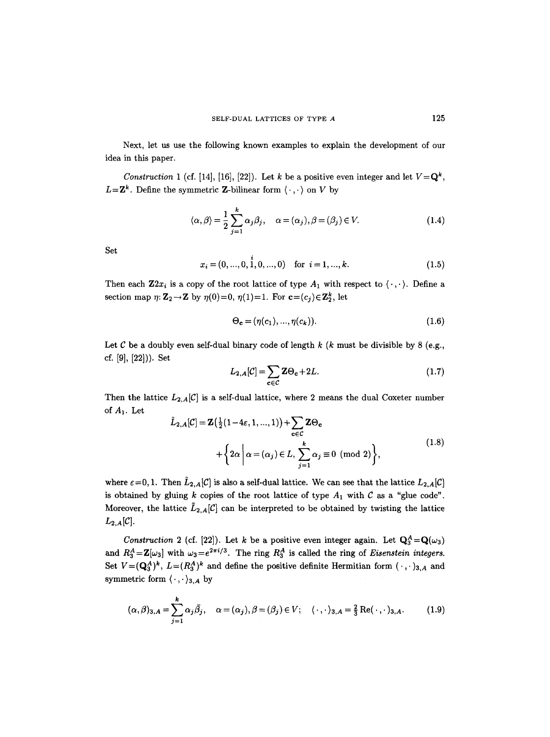Next, let us use the following known examples to explain the development of our idea in this paper.

*Construction 1* (cf. [14], [16], [22]). Let k be a positive even integer and let  $V=Q^k$ ,  $L = \mathbf{Z}^k$ . Define the symmetric **Z**-bilinear form  $\langle \cdot, \cdot \rangle$  on V by

$$
\langle \alpha, \beta \rangle = \frac{1}{2} \sum_{j=1}^{k} \alpha_j \beta_j, \quad \alpha = (\alpha_j), \beta = (\beta_j) \in V. \tag{1.4}
$$

Set

$$
x_i = (0, ..., 0, \dot{1}, 0, ..., 0) \text{ for } i = 1, ..., k. \tag{1.5}
$$

Then each  $\mathbf{Z}2x_i$  is a copy of the root lattice of type  $A_1$  with respect to  $\langle \cdot, \cdot \rangle$ . Define a section map  $\eta: \mathbf{Z}_2 \to \mathbf{Z}$  by  $\eta(0)=0$ ,  $\eta(1)=1$ . For  $\mathbf{c}=(c_j)\in \mathbf{Z}_2^k$ , let

$$
\Theta_{\mathbf{c}} = (\eta(c_1), \dots, \eta(c_k)). \tag{1.6}
$$

Let  $C$  be a doubly even self-dual binary code of length  $k$  ( $k$  must be divisible by 8 (e.g., cf. **[91, [221)).** Set

$$
L_{2,A}[\mathcal{C}] = \sum_{\mathbf{c} \in \mathcal{C}} \mathbf{Z} \Theta_{\mathbf{c}} + 2L. \tag{1.7}
$$

Then the lattice  $L_{2,A}[\mathcal{C}]$  is a self-dual lattice, where 2 means the dual Coxeter number of A1. Let

$$
\tilde{L}_{2,A}[C] = \mathbf{Z}(\frac{1}{2}(1-4\varepsilon, 1, ..., 1)) + \sum_{\mathbf{c} \in C} \mathbf{Z} \Theta_{\mathbf{c}}
$$
  
+ 
$$
\left\{2\alpha \mid \alpha = (\alpha_j) \in L, \sum_{j=1}^{k} \alpha_j \equiv 0 \pmod{2}\right\},
$$
(1.8)

where  $\varepsilon=0, 1$ . Then  $\tilde{L}_{2,A}[C]$  is also a self-dual lattice. We can see that the lattice  $L_{2,A}[C]$ is obtained by gluing k copies of the root lattice of type  $A_1$  with  $C$  as a "glue code". Moreover, the lattice  $\tilde{L}_{2,A}[\mathcal{C}]$  can be interpreted to be obtained by twisting the lattice  $L_{2,A}[\mathcal{C}].$ 

*Construction 2* (cf. [22]). Let k be a positive even integer again. Let  $Q_3^A = Q(\omega_3)$ and  $R_3^A = \mathbb{Z}[\omega_3]$  with  $\omega_3 = e^{2\pi i/3}$ . The ring  $R_3^A$  is called the ring of *Eisenstein integers.* Set  $V=(\mathbf{Q}_3^A)^k$ ,  $L=(R_3^A)^k$  and define the positive definite Hermitian form  $(\cdot,\cdot)_{3,A}$  and symmetric form  $\langle \cdot, \cdot \rangle_{3, A}$  by

$$
(\alpha,\beta)_{3,A}=\sum_{j=1}^k\alpha_j\bar{\beta}_j,\quad \alpha=(\alpha_j),\beta=(\beta_j)\in V;\quad \langle\,\cdot\,,\cdot\rangle_{3,A}=\frac{2}{3}\operatorname{Re}(\,\cdot\,,\cdot)_{3,A}.\tag{1.9}
$$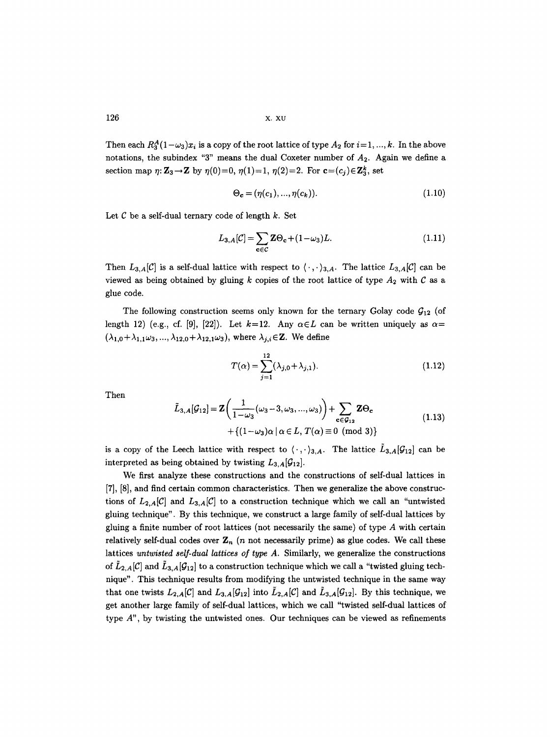126  $x. xu$ 

Then each  $R_3^A(1-\omega_3)x_i$  is a copy of the root lattice of type  $A_2$  for  $i=1, ..., k$ . In the above notations, the subindex "3" means the dual Coxeter number of  $A_2$ . Again we define a section map  $\eta: \mathbb{Z}_3 \to \mathbb{Z}$  by  $\eta(0)=0$ ,  $\eta(1)=1$ ,  $\eta(2)=2$ . For  $\mathbf{c}=(c_j)\in \mathbb{Z}_3^k$ , set

$$
\Theta_{\mathbf{c}} = (\eta(c_1), ..., \eta(c_k)). \tag{1.10}
$$

Let  $C$  be a self-dual ternary code of length  $k$ . Set

$$
L_{3,A}[\mathcal{C}] = \sum_{\mathbf{c} \in \mathcal{C}} \mathbf{Z} \Theta_{\mathbf{c}} + (1 - \omega_3) L. \tag{1.11}
$$

Then  $L_{3,A}[\mathcal{C}]$  is a self-dual lattice with respect to  $\langle \cdot, \cdot \rangle_{3,A}$ . The lattice  $L_{3,A}[\mathcal{C}]$  can be viewed as being obtained by gluing  $k$  copies of the root lattice of type  $A_2$  with  $C$  as a glue code.

The following construction seems only known for the ternary Golay code  $G_{12}$  (of length 12) (e.g., cf. [9], [22]). Let  $k=12$ . Any  $\alpha \in L$  can be written uniquely as  $\alpha =$  $(\lambda_{1,0}+\lambda_{1,1}\omega_3, ..., \lambda_{12,0}+\lambda_{12,1}\omega_3)$ , where  $\lambda_{j,i}\in\mathbb{Z}$ . We define

$$
T(\alpha) = \sum_{j=1}^{12} (\lambda_{j,0} + \lambda_{j,1}).
$$
 (1.12)

Then

$$
\tilde{L}_{3,A}[\mathcal{G}_{12}] = \mathbf{Z} \left( \frac{1}{1 - \omega_3} (\omega_3 - 3, \omega_3, ..., \omega_3) \right) + \sum_{\mathbf{c} \in \mathcal{G}_{12}} \mathbf{Z} \Theta_{\mathbf{c}}
$$
\n
$$
+ \{ (1 - \omega_3) \alpha \mid \alpha \in L, T(\alpha) \equiv 0 \pmod{3} \}
$$
\n(1.13)

is a copy of the Leech lattice with respect to  $\langle \cdot, \cdot \rangle_{3,A}$ . The lattice  $L_{3,A}[\mathcal{G}_{12}]$  can be interpreted as being obtained by twisting  $L_{3,A}[G_{12}]$ .

We first analyze these constructions and the constructions of self-dual lattices in [7], [8], and find certain common characteristics. Then we generalize the above constructions of  $L_{2,A}[\mathcal{C}]$  and  $L_{3,A}[\mathcal{C}]$  to a construction technique which we call an "untwisted gluing technique". By this technique, we construct a large family of self-dual lattices by gluing a finite number of root lattices (not necessarily the same) of type A with certain relatively self-dual codes over  $\mathbf{Z}_n$  (n not necessarily prime) as glue codes. We call these lattices *untwisted self-dual lattices of type A.* Similarly, we generalize the constructions of  $L_{2,A}[\mathcal{C}]$  and  $L_{3,A}[\mathcal{G}_{12}]$  to a construction technique which we call a "twisted gluing technique". This technique results from modifying the untwisted technique in the same way that one twists  $L_{2,A}[\mathcal{C}]$  and  $L_{3,A}[\mathcal{G}_{12}]$  into  $\tilde{L}_{2,A}[\mathcal{C}]$  and  $\tilde{L}_{3,A}[\mathcal{G}_{12}]$ . By this technique, we get another large family of self-dual lattices, which we call "twisted self-dual lattices of type  $A$ <sup>"</sup>, by twisting the untwisted ones. Our techniques can be viewed as refinements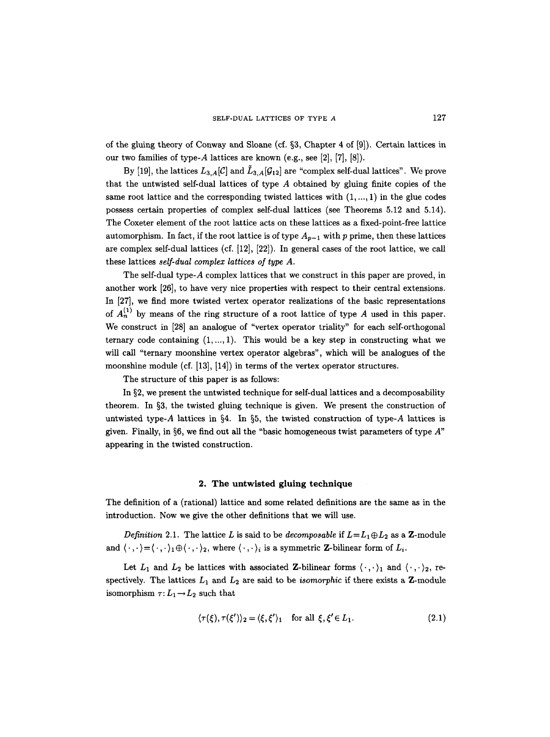of the gluing theory of Conway and Sloane (cf.  $\S$ 3, Chapter 4 of [9]). Certain lattices in our two families of type-A lattices are known (e.g., see [2], [7], [8]).

By [19], the lattices  $L_{3,A}[C]$  and  $\tilde{L}_{3,A}[G_{12}]$  are "complex self-dual lattices". We prove that the untwisted self-dual lattices of type  $A$  obtained by gluing finite copies of the same root lattice and the corresponding twisted lattices with  $(1, ..., 1)$  in the glue codes possess certain properties of complex self-dual lattices (see Theorems 5.12 and 5.14). The Coxeter element of the root lattice acts on these lattices as a fixed-point-free lattice automorphism. In fact, if the root lattice is of type  $A_{p-1}$  with p prime, then these lattices are complex self-dual lattices (cf. [12], [22]). In general cases of the root lattice, we call these lattices *self-dual complex lattices of type A.* 

The self-dual type-A complex lattices that we construct in this paper are proved, in another work [26], to have very nice properties with respect to their central extensions. In [27], we find more twisted vertex operator realizations of the basic representations of  $A_n^{(1)}$  by means of the ring structure of a root lattice of type A used in this paper. We construct in [28] an analogue of "vertex operator triality" for each self-orthogonal ternary code containing  $(1, \ldots, 1)$ . This would be a key step in constructing what we will call "ternary moonshine vertex operator algebras", which will be analogues of the moonshine module (cf. [13], [14]) in terms of the vertex operator structures.

The structure of this paper is as follows:

In  $\S 2$ , we present the untwisted technique for self-dual lattices and a decomposability theorem. In  $\S3$ , the twisted gluing technique is given. We present the construction of untwisted type-A lattices in §4. In §5, the twisted construction of type-A lattices is given. Finally, in  $\S6$ , we find out all the "basic homogeneous twist parameters of type  $A$ " appearing in the twisted construction.

### **2. The untwisted gluing technique**

The definition of a (rational) lattice and some related definitions are the same as in the introduction. Now we give the other definitions that we will use.

*Definition 2.1.* The lattice L is said to be *decomposable* if  $L = L_1 \oplus L_2$  as a Z-module and  $\langle \cdot, \cdot \rangle = \langle \cdot, \cdot \rangle_1 \oplus \langle \cdot, \cdot \rangle_2$ , where  $\langle \cdot, \cdot \rangle_i$  is a symmetric Z-bilinear form of  $L_i$ .

Let  $L_1$  and  $L_2$  be lattices with associated Z-bilinear forms  $\langle \cdot, \cdot \rangle_1$  and  $\langle \cdot, \cdot \rangle_2$ , respectively. The lattices  $L_1$  and  $L_2$  are said to be *isomorphic* if there exists a Z-module isomorphism  $\tau: L_1 \rightarrow L_2$  such that

$$
\langle \tau(\xi), \tau(\xi') \rangle_2 = \langle \xi, \xi' \rangle_1 \quad \text{for all } \xi, \xi' \in L_1. \tag{2.1}
$$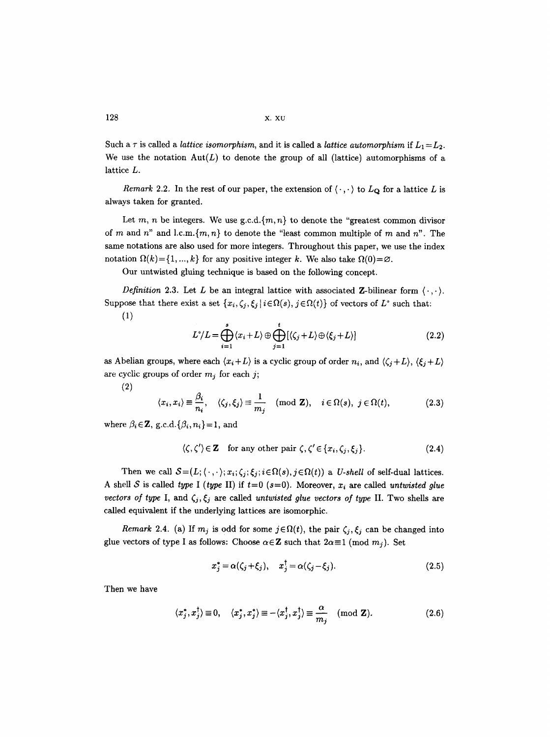Such a  $\tau$  is called a *lattice isomorphism*, and it is called a *lattice automorphism* if  $L_1 = L_2$ . We use the notation  $Aut(L)$  to denote the group of all (lattice) automorphisms of a lattice L.

*Remark* 2.2. In the rest of our paper, the extension of  $\langle \cdot, \cdot \rangle$  to  $L_{\mathbf{Q}}$  for a lattice L is always taken for granted.

Let m, n be integers. We use  $g.c.d.\{m,n\}$  to denote the "greatest common divisor of m and n" and l.c.m.{ $m, n$ } to denote the "least common multiple of m and n". The same notations are also used for more integers. Throughout this paper, we use the index notation  $\Omega(k)=\{1, ..., k\}$  for any positive integer k. We also take  $\Omega(0)=\emptyset$ .

Our untwisted gluing technique is based on the following concept.

*Definition 2.3.* Let L be an integral lattice with associated Z-bilinear form  $\langle \cdot, \cdot \rangle$ . Suppose that there exist a set  $\{x_i, \zeta_j, \xi_j | i \in \Omega(s), j \in \Omega(t)\}$  of vectors of  $L^{\circ}$  such that:

$$
(1)
$$

$$
L^{\circ}/L = \bigoplus_{i=1}^{s} \langle x_i + L \rangle \oplus \bigoplus_{j=1}^{t} [\langle \zeta_j + L \rangle \oplus \langle \xi_j + L \rangle] \tag{2.2}
$$

as Abelian groups, where each  $\langle x_i + L \rangle$  is a cyclic group of order  $n_i$ , and  $\langle \zeta_i + L \rangle$ ,  $\langle \xi_i + L \rangle$ are cyclic groups of order  $m_j$  for each j;

**(2)** 

$$
\langle x_i, x_i \rangle \equiv \frac{\beta_i}{n_i}, \quad \langle \zeta_j, \xi_j \rangle \equiv \frac{1}{m_j} \pmod{\mathbf{Z}}, \quad i \in \Omega(s), \ j \in \Omega(t), \tag{2.3}
$$

where  $\beta_i \in \mathbb{Z}$ , *g.c.d.*{ $\beta_i$ ,  $n_i$ }=1, and

$$
\langle \zeta, \zeta' \rangle \in \mathbf{Z} \quad \text{for any other pair } \zeta, \zeta' \in \{x_i, \zeta_j, \xi_j\}. \tag{2.4}
$$

Then we call  $S=(L; \langle \cdot, \cdot \rangle; x_i; \zeta_i; \xi_j; i \in \Omega(s), j \in \Omega(t))$  a U-shell of self-dual lattices. A shell S is called *type* I (*type* II) if  $t=0$  ( $s=0$ ). Moreover,  $x_i$  are called *untwisted glue vectors of type* I, and  $\zeta_j$ ,  $\zeta_j$  are called *untwisted glue vectors of type* II. Two shells are called equivalent if the underlying lattices are isomorphic.

*Remark* 2.4. (a) If  $m_j$  is odd for some  $j \in \Omega(t)$ , the pair  $\zeta_j$ ,  $\zeta_j$  can be changed into glue vectors of type I as follows: Choose  $\alpha \in \mathbb{Z}$  such that  $2\alpha \equiv 1 \pmod{m_j}$ . Set

$$
x_j^* = \alpha(\zeta_j + \xi_j), \quad x_j^{\dagger} = \alpha(\zeta_j - \xi_j). \tag{2.5}
$$

Then we have

$$
\langle x_j^*, x_j^{\dagger} \rangle \equiv 0, \quad \langle x_j^*, x_j^* \rangle \equiv -\langle x_j^{\dagger}, x_j^{\dagger} \rangle \equiv \frac{\alpha}{m_j} \pmod{\mathbf{Z}}.
$$
 (2.6)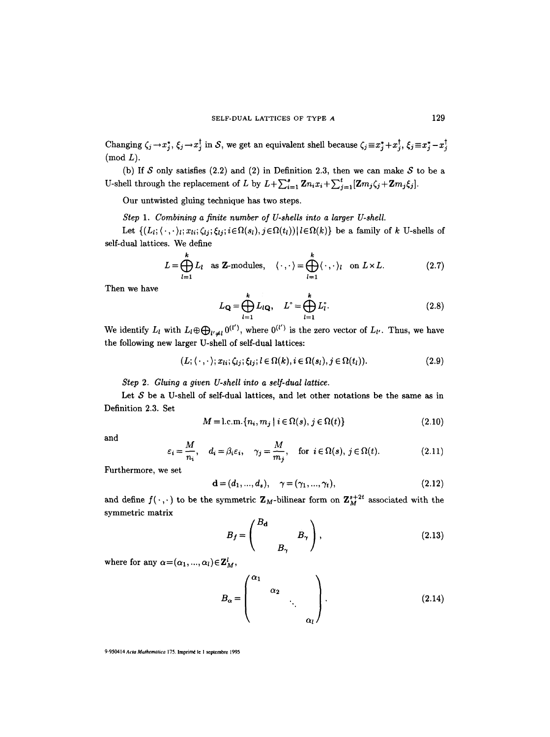Changing  $\zeta_j \to x_j^*, \xi_j \to x_j^{\dagger}$  in S, we get an equivalent shell because  $\zeta_j \equiv x_j^* + x_j^{\dagger}, \xi_j \equiv x_j^* - x_j^{\dagger}$  $(mod L).$ 

(b) If S only satisfies (2.2) and (2) in Definition 2.3, then we can make S to be a U-shell through the replacement of L by  $L + \sum_{i=1}^{s} \mathbf{Z} n_i x_i + \sum_{j=1}^{t} [\mathbf{Z} m_j \zeta_j + \mathbf{Z} m_j \xi_j].$ 

Our untwisted gluing technique has two steps.

*Step 1. Combining a finite number of U-shells into a larger U-shell.* 

Let  $\{(L_i; \langle\cdot,\cdot\rangle_i; x_{li}; \zeta_{lj}; \xi_{lj}; i \in \Omega(s_l), j \in \Omega(t_l)) | l \in \Omega(k) \}$  be a family of k U-shells of self-dual lattices. We define

$$
L = \bigoplus_{l=1}^{k} L_l \quad \text{as } \mathbf{Z}\text{-modules}, \quad \langle \cdot, \cdot \rangle = \bigoplus_{l=1}^{k} \langle \cdot, \cdot \rangle_l \quad \text{on } L \times L. \tag{2.7}
$$

Then we have

$$
L_{\mathbf{Q}} = \bigoplus_{l=1}^{k} L_{l\mathbf{Q}}, \quad L^{\circ} = \bigoplus_{l=1}^{k} L_{l}^{\circ}.
$$
 (2.8)

We identify  $L_l$  with  $L_l \oplus \bigoplus_{l' \neq l} 0^{(l')}$ , where  $0^{(l')}$  is the zero vector of  $L_{l'}$ . Thus, we have the following new larger U-shell of self-dual lattices:

$$
(L; \langle \cdot, \cdot \rangle; x_{li}; \zeta_{lj}; \xi_{lj}; l \in \Omega(k), i \in \Omega(s_l), j \in \Omega(t_l)).
$$
\n
$$
(2.9)
$$

*Step 2. Gluing a given U-shell into a self-dual lattice.* 

Let  $S$  be a U-shell of self-dual lattices, and let other notations be the same as in Definition 2.3. Set

$$
M = \text{l.c.m.} \{n_i, m_j \mid i \in \Omega(s), j \in \Omega(t)\}\tag{2.10}
$$

and

$$
\varepsilon_i = \frac{M}{n_i}, \quad d_i = \beta_i \varepsilon_i, \quad \gamma_j = \frac{M}{m_j}, \quad \text{for } i \in \Omega(s), j \in \Omega(t). \tag{2.11}
$$

Furthermore, we set

$$
\mathbf{d} = (d_1, ..., d_s), \quad \gamma = (\gamma_1, ..., \gamma_t), \tag{2.12}
$$

and define  $f(\cdot, \cdot)$  to be the symmetric  $\mathbf{Z}_M$ -bilinear form on  $\mathbf{Z}_M^{s+2t}$  associated with the symmetric matrix

$$
B_f = \begin{pmatrix} B_{\mathbf{d}} & & \\ & B_{\gamma} & \\ & B_{\gamma} & \end{pmatrix}, \tag{2.13}
$$

where for any  $\alpha = (\alpha_1, ..., \alpha_l) \in \mathbb{Z}_M^l$ ,

$$
B_{\alpha} = \begin{pmatrix} \alpha_1 & & & \\ & \alpha_2 & & \\ & & \ddots & \\ & & & \alpha_l \end{pmatrix} .
$$
 (2.14)

9-950414 *Acta Mathematica* 175. Imprimé le 1 septembre 1995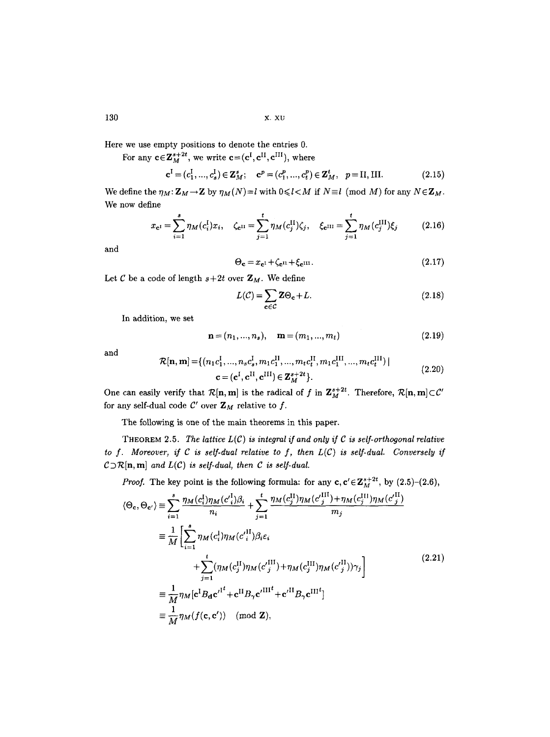Here we use empty positions to denote the entries 0.

For any  $c \in \mathbb{Z}_M^{s+2t}$ , we write  $c = (c^{\text{I}}, c^{\text{II}}, c^{\text{III}})$ , where

$$
\mathbf{c}^{\mathbf{I}} = (c_1^{\mathbf{I}}, ..., c_s^{\mathbf{I}}) \in \mathbf{Z}_M^s; \quad \mathbf{c}^p = (c_1^p, ..., c_t^p) \in \mathbf{Z}_M^t, \quad p = \text{II}, \text{III}.
$$
 (2.15)

We define the  $\eta_M: \mathbb{Z}_M \to \mathbb{Z}$  by  $\eta_M(N)=l$  with  $0 \leq l < M$  if  $N \equiv l \pmod{M}$  for any  $N \in \mathbb{Z}_M$ . We now define

$$
x_{\mathbf{c}^{I}} = \sum_{i=1}^{s} \eta_{M}(c_{i}^{I}) x_{i}, \quad \zeta_{\mathbf{c}^{II}} = \sum_{j=1}^{t} \eta_{M}(c_{j}^{II}) \zeta_{j}, \quad \xi_{\mathbf{c}^{III}} = \sum_{j=1}^{t} \eta_{M}(c_{j}^{III}) \xi_{j}
$$
(2.16)

and

$$
\Theta_{\mathbf{c}} = x_{\mathbf{c}^{\mathrm{I}}} + \zeta_{\mathbf{c}^{\mathrm{II}}} + \xi_{\mathbf{c}^{\mathrm{III}}}.\tag{2.17}
$$

Let C be a code of length  $s+2t$  over  $\mathbf{Z}_M$ . We define

$$
L(\mathcal{C}) = \sum_{\mathbf{c} \in \mathcal{C}} \mathbf{Z} \Theta_{\mathbf{c}} + L. \tag{2.18}
$$

In addition, we set

$$
\mathbf{n} = (n_1, ..., n_s), \quad \mathbf{m} = (m_1, ..., m_t)
$$
 (2.19)

and

$$
\mathcal{R}[\mathbf{n}, \mathbf{m}] = \{ (n_1 c_1^{\mathrm{I}}, ..., n_s c_s^{\mathrm{I}}, m_1 c_1^{\mathrm{II}}, ..., m_t c_t^{\mathrm{II}}, m_1 c_1^{\mathrm{III}}, ..., m_t c_t^{\mathrm{III}}) | \n\mathbf{c} = (\mathbf{c}^{\mathrm{I}}, \mathbf{c}^{\mathrm{II}}, \mathbf{c}^{\mathrm{III}}) \in \mathbf{Z}_M^{s+2t} \}.
$$
\n(2.20)

One can easily verify that  $\mathcal{R}[\mathbf{n}, \mathbf{m}]$  is the radical of f in  $\mathbf{Z}_{M}^{s+2t}$ . Therefore,  $\mathcal{R}[\mathbf{n}, \mathbf{m}] \subset \mathcal{C}'$ for any self-dual code  $C'$  over  $\mathbf{Z}_M$  relative to f.

The following is one of the main theorems in this paper.

THEOREM 2.5. The lattice  $L(\mathcal{C})$  is integral if and only if  $\mathcal C$  is self-orthogonal relative to  $f$ . Moreover, if  $C$  is self-dual relative to  $f$ , then  $L(C)$  is self-dual. Conversely if  $C\supset R[n, m]$  and  $L(C)$  is self-dual, then C is self-dual.

*Proof.* The key point is the following formula: for any  $c, c' \in \mathbb{Z}_{M}^{s+2t}$ , by  $(2.5)-(2.6)$ ,

$$
\langle \Theta_{\mathbf{c}}, \Theta_{\mathbf{c}'} \rangle \equiv \sum_{i=1}^{s} \frac{\eta_{M}(c_{i}^{1})\eta_{M}(c_{i}^{1})\beta_{i}}{n_{i}} + \sum_{j=1}^{t} \frac{\eta_{M}(c_{j}^{11})\eta_{M}(c_{j}^{111}) + \eta_{M}(c_{j}^{111})\eta_{M}(c_{j}^{111})}{m_{j}}
$$
  
\n
$$
\equiv \frac{1}{M} \Biggl[ \sum_{i=1}^{s} \eta_{M}(c_{i}^{1})\eta_{M}(c_{i}^{11})\beta_{i}\varepsilon_{i} + \sum_{j=1}^{t} (\eta_{M}(c_{j}^{11})\eta_{M}(c_{j}^{111}) + \eta_{M}(c_{j}^{111})\eta_{M}(c_{j}^{111})\gamma_{j} \Biggr]
$$
  
\n
$$
\equiv \frac{1}{M} \eta_{M} [\mathbf{c}^{1} B_{\mathbf{d}} \mathbf{c'}^{11^{t}} + \mathbf{c}^{11} B_{\gamma} \mathbf{c'}^{111^{t}} + \mathbf{c'}^{11} B_{\gamma} \mathbf{c'}^{111^{t}}]
$$
  
\n
$$
\equiv \frac{1}{M} \eta_{M}(f(\mathbf{c}, \mathbf{c'})) \pmod{\mathbf{Z}},
$$
  
\n(2.21)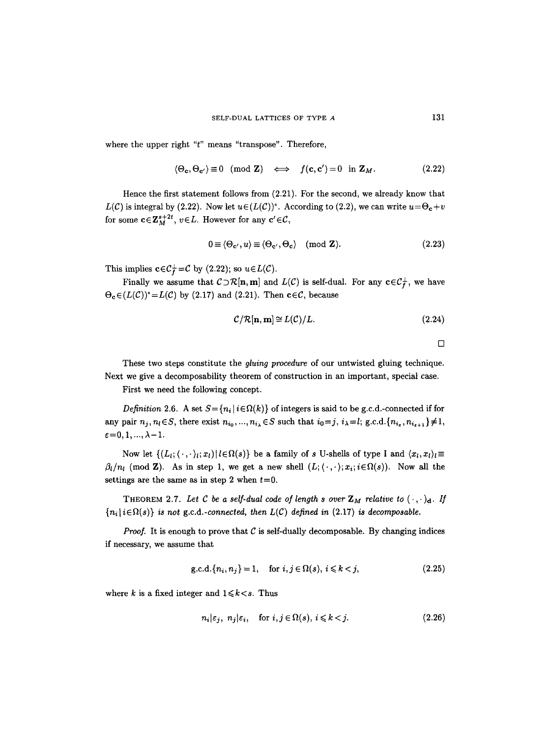where the upper right "t" means "transpose". Therefore,

$$
\langle \Theta_{\mathbf{c}}, \Theta_{\mathbf{c}'} \rangle \equiv 0 \pmod{\mathbf{Z}} \iff f(\mathbf{c}, \mathbf{c}') = 0 \text{ in } \mathbf{Z}_M. \tag{2.22}
$$

Hence the first statement follows from (2.21). For the second, we already know that  $L(\mathcal{C})$  is integral by (2.22). Now let  $u \in (L(\mathcal{C}))^{\circ}$ . According to (2.2), we can write  $u = \Theta_{\mathbf{c}} + v$ for some  $c \in \mathbb{Z}_M^{s+2t}$ ,  $v \in L$ . However for any  $c' \in \mathcal{C}$ ,

$$
0 \equiv \langle \Theta_{\mathbf{c'}}, u \rangle \equiv \langle \Theta_{\mathbf{c'}}, \Theta_{\mathbf{c}} \rangle \pmod{\mathbf{Z}}. \tag{2.23}
$$

This implies  $c \in C_f^{\perp} = C$  by (2.22); so  $u \in L(C)$ .

Finally we assume that  $C \supset \mathcal{R}[n, m]$  and  $L(C)$  is self-dual. For any  $c \in C_f^{\perp}$ , we have  $\Theta_{\mathbf{c}} \in (L(\mathcal{C}))^{\circ} = L(\mathcal{C})$  by (2.17) and (2.21). Then  $\mathbf{c} \in \mathcal{C}$ , because

$$
\mathcal{C}/\mathcal{R}[\mathbf{n}, \mathbf{m}] \cong L(\mathcal{C})/L. \tag{2.24}
$$

$$
\Box
$$

These two steps constitute the *gluing procedure* of our untwisted gluing technique. Next we give a decomposability theorem of construction in an important, special case.

First we need the following concept.

*Definition* 2.6. A set  $S = \{n_i | i \in \Omega(k)\}$  of integers is said to be g.c.d.-connected if for any pair  $n_j$ ,  $n_l \in S$ , there exist  $n_{i_0},...,n_{i_\lambda} \in S$  such that  $i_0=j$ ,  $i_\lambda=l$ ;  $g.c.d.\{n_{i_\epsilon}, n_{i_{\epsilon+1}}\}\neq 1$ ,  $\varepsilon = 0, 1, ..., \lambda - 1.$ 

Now let  $\{(L_i; \langle \cdot, \cdot \rangle_i; x_i) | i \in \Omega(s)\}\$ be a family of s U-shells of type I and  $\langle x_i, x_i \rangle_i \equiv$  $\beta_l/n_l$  (mod **Z**). As in step 1, we get a new shell  $(L; \langle \cdot, \cdot \rangle; x_i; i \in \Omega(s))$ . Now all the settings are the same as in step 2 when  $t=0$ .

THEOREM 2.7. Let C be a self-dual code of length s over  $\mathbb{Z}_M$  relative to  $(\cdot, \cdot)_{d}$ . If  ${n_i | i \in \Omega(s)}$  *is not g.c.d.-connected, then L(C) defined in (2.17) is decomposable.* 

*Proof.* It is enough to prove that  $C$  is self-dually decomposable. By changing indices if necessary, we assume that

$$
g.c.d.\{n_i, n_j\} = 1, \quad \text{for } i, j \in \Omega(s), i \leq k < j,\tag{2.25}
$$

where k is a fixed integer and  $1 \leq k \leq s$ . Thus

$$
n_i|\varepsilon_j, n_j|\varepsilon_i, \quad \text{for } i, j \in \Omega(s), i \leq k < j. \tag{2.26}
$$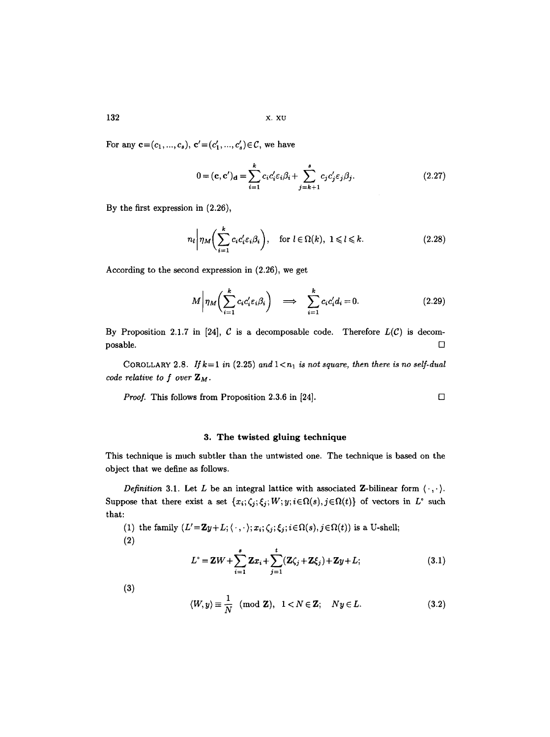For any  $c=(c_1, ..., c_s), c'=(c'_1, ..., c'_s)\in \mathcal{C}$ , we have

$$
0 = (\mathbf{c}, \mathbf{c}')_{\mathbf{d}} = \sum_{i=1}^{k} c_i c'_i \varepsilon_i \beta_i + \sum_{j=k+1}^{s} c_j c'_j \varepsilon_j \beta_j.
$$
 (2.27)

By the first expression in (2.26),

$$
n_l \bigg| \eta_M \bigg( \sum_{i=1}^k c_i c_i' \varepsilon_i \beta_i \bigg), \quad \text{for } l \in \Omega(k), \ 1 \leq l \leq k. \tag{2.28}
$$

According to the second expression in (2.26), we get

$$
M \bigg| \eta_M \bigg( \sum_{i=1}^k c_i c_i' \varepsilon_i \beta_i \bigg) \quad \Longrightarrow \quad \sum_{i=1}^k c_i c_i' d_i = 0. \tag{2.29}
$$

By Proposition 2.1.7 in [24],  $C$  is a decomposable code. Therefore  $L(C)$  is decom- $\Box$ posable.  $\Box$ 

COROLLARY 2.8. If  $k=1$  in (2.25) and  $1\lt n_1$  is not square, then there is no self-dual *code relative to f over ZM.* 

*Proof.* This follows from Proposition 2.3.6 in [24].  $\Box$ 

# 3. The twisted gluing technique

This technique is much subtler than the untwisted one. The technique is based on the object that we define as follows.

*Definition* 3.1. Let L be an integral lattice with associated Z-bilinear form  $\langle \cdot, \cdot \rangle$ . Suppose that there exist a set  $\{x_i; \zeta_j; \zeta_j; W; y; i \in \Omega(s), j \in \Omega(t)\}$  of vectors in  $L^{\circ}$  such that:

(1) the family  $(L' = \mathbf{Z}y + L; \langle \cdot, \cdot \rangle; x_i; \zeta_j; \zeta_j; i \in \Omega(s), j \in \Omega(t)$ ) is a U-shell; **(2)** 

$$
L^{\circ} = \mathbf{Z}W + \sum_{i=1}^{s} \mathbf{Z}x_{i} + \sum_{j=1}^{t} (\mathbf{Z}\zeta_{j} + \mathbf{Z}\zeta_{j}) + \mathbf{Z}y + L; \qquad (3.1)
$$

**(3)** 

$$
\langle W, y \rangle \equiv \frac{1}{N} \pmod{\mathbf{Z}}, \quad 1 < N \in \mathbf{Z}; \quad Ny \in L. \tag{3.2}
$$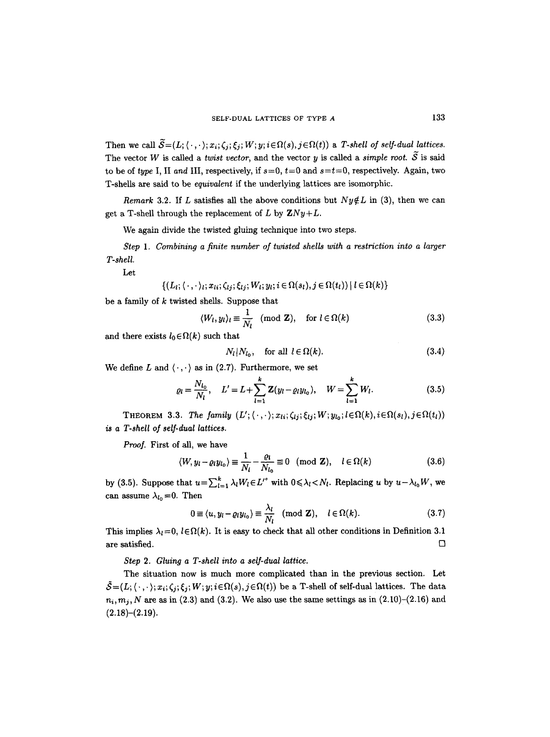Then we call  $\widetilde{\mathcal{S}} = (L; \langle \cdot, \cdot \rangle; x_i; \zeta_i; \xi_j; W; y; i \in \Omega(s), j \in \Omega(t))$  a *T-shell of self-dual lattices.* The vector W is called a *twist vector*, and the vector y is called a *simple root.*  $\widetilde{S}$  is said to be of *type* I, II and III, respectively, if  $s=0$ ,  $t=0$  and  $s=t=0$ , respectively. Again, two T-shells are said to be *equivalent* if the underlying lattices are isomorphic.

*Remark* 3.2. If L satisfies all the above conditions but  $Ny \notin L$  in (3), then we can get a T-shell through the replacement of L by  $ZNy+L$ .

We again divide the twisted gluing technique into two steps.

*Step 1. Combining a finite number of twisted shells with a restriction into a larger T-shell.* 

Let

 $\{ (L_l; \langle \cdot, \cdot \rangle_l; x_{li}; \zeta_{lj}; \xi_{lj}; W_l; y_l; i \in \Omega(s_l), j \in \Omega(t_l)) \mid l \in \Omega(k) \}$ 

be a family of  $k$  twisted shells. Suppose that

$$
\langle W_l, y_l \rangle_l \equiv \frac{1}{N_l} \pmod{\mathbf{Z}}, \quad \text{for } l \in \Omega(k) \tag{3.3}
$$

and there exists  $l_0 \in \Omega(k)$  such that

$$
N_l|N_{l_0}, \quad \text{for all } l \in \Omega(k). \tag{3.4}
$$

We define L and  $\langle \cdot, \cdot \rangle$  as in (2.7). Furthermore, we set

$$
\varrho_l = \frac{N_{l_0}}{N_l}, \quad L' = L + \sum_{l=1}^k \mathbf{Z}(y_l - \varrho_l y_{l_0}), \quad W = \sum_{l=1}^k W_l.
$$
 (3.5)

THEOREM 3.3. The family  $(L'; \langle \cdot, \cdot \rangle; x_{1i}; \zeta_{1i}; \zeta_{1i}; W; y_{l_0}; l \in \Omega(k), i \in \Omega(s_l), j \in \Omega(t_l))$ *is a T-shell of self-dual lattices.* 

*Proof.* First of all, we have

$$
\langle W, y_l - \varrho_l y_{l_0} \rangle \equiv \frac{1}{N_l} - \frac{\varrho_l}{N_{l_0}} \equiv 0 \pmod{\mathbf{Z}}, \quad l \in \Omega(k)
$$
 (3.6)

by (3.5). Suppose that  $u = \sum_{l=1}^{k} \lambda_l W_l \in L'^{\circ}$  with  $0 \le \lambda_l \le N_l$ . Replacing u by  $u - \lambda_{l_0} W$ , we can assume  $\lambda_{l_0}=0$ . Then

$$
0 \equiv \langle u, y_l - \varrho_l y_{l_0} \rangle \equiv \frac{\lambda_l}{N_l} \pmod{\mathbf{Z}}, \quad l \in \Omega(k). \tag{3.7}
$$

This implies  $\lambda_l = 0$ ,  $l \in \Omega(k)$ . It is easy to check that all other conditions in Definition 3.1 are satisfied.  $\Box$ 

*Step 2. Gluing a T-sheU into a self-dual lattice.* 

The situation now is much more complicated than in the previous section. Let  $\tilde{\mathcal{S}}=(L; \langle \cdot, \cdot \rangle; x_i; \zeta_i; \xi_i; W; y; i \in \Omega(s), j \in \Omega(t))$  be a T-shell of self-dual lattices. The data  $n_i, m_j, N$  are as in (2.3) and (3.2). We also use the same settings as in  $(2.10)$ – $(2.16)$  and  $(2.18)–(2.19).$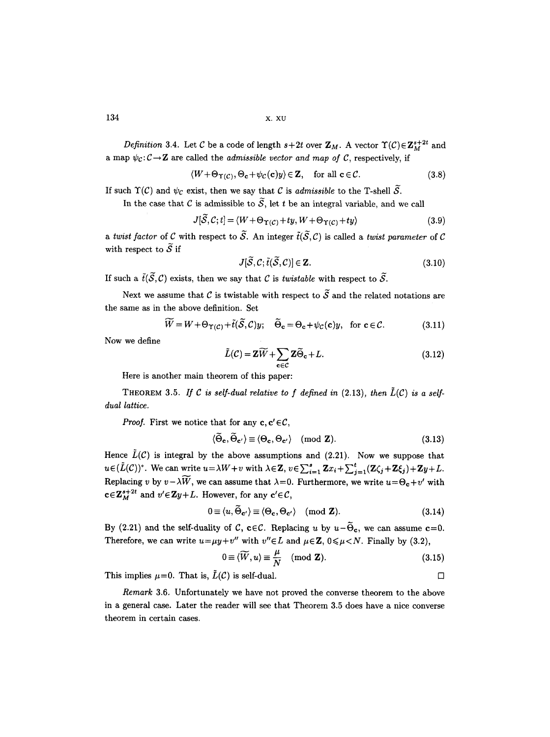*Definition 3.4.* Let C be a code of length  $s+2t$  over  $\mathbb{Z}_M$ . A vector  $\Upsilon(\mathcal{C})\in \mathbb{Z}_M^{s+2t}$  and a map  $\psi_c: \mathcal{C} \to \mathbf{Z}$  are called the *admissible vector and map of C*, respectively, if

$$
\langle W + \Theta_{\Upsilon(C)}, \Theta_{\mathbf{c}} + \psi_C(\mathbf{c})y \rangle \in \mathbf{Z}, \quad \text{for all } \mathbf{c} \in \mathcal{C}.
$$
 (3.8)

If such  $\Upsilon(\mathcal{C})$  and  $\psi_{\mathcal{C}}$  exist, then we say that  $\mathcal C$  is *admissible* to the T-shell  $\widetilde{\mathcal{S}}$ .

In the case that C is admissible to  $\widetilde{S}$ , let t be an integral variable, and we call

$$
J[\tilde{S}, C; t] = \langle W + \Theta_{\Upsilon(C)} + ty, W + \Theta_{\Upsilon(C)} + ty \rangle \tag{3.9}
$$

*a twist factor* of C with respect to  $\widetilde{S}$ . An integer  $\tilde{t}(\widetilde{S}, C)$  is called a *twist parameter* of C with respect to  $\widetilde{S}$  if

$$
J[\widetilde{\mathcal{S}}, \mathcal{C}; \widetilde{t}(\widetilde{\mathcal{S}}, \mathcal{C})] \in \mathbf{Z}.
$$
\n(3.10)

If such a  $\tilde{t}(\tilde{S}, \mathcal{C})$  exists, then we say that C is *twistable* with respect to  $\tilde{S}$ .

Next we assume that C is twistable with respect to  $\widetilde{\mathcal{S}}$  and the related notations are the same as in the above definition. Set

$$
\widetilde{W} = W + \Theta_{\Upsilon(C)} + \tilde{t}(\widetilde{\mathcal{S}}, \mathcal{C})y; \quad \widetilde{\Theta}_{\mathbf{c}} = \Theta_{\mathbf{c}} + \psi_{\mathcal{C}}(\mathbf{c})y, \text{ for } \mathbf{c} \in \mathcal{C}.
$$
 (3.11)

Now we define

$$
\tilde{L}(\mathcal{C}) = \mathbf{Z}\widetilde{W} + \sum_{\mathbf{c} \in \mathcal{C}} \mathbf{Z}\widetilde{\Theta}_{\mathbf{c}} + L.
$$
 (3.12)

Here is another main theorem of this paper:

THEOREM 3.5. If C is self-dual relative to f defined in  $(2.13)$ , then  $\tilde{L}(C)$  is a self*dual lattice.* 

*Proof.* First we notice that for any  $c, c' \in \mathcal{C}$ ,

$$
\langle \widetilde{\Theta}_{\mathbf{c}}, \widetilde{\Theta}_{\mathbf{c}'} \rangle \equiv \langle \Theta_{\mathbf{c}}, \Theta_{\mathbf{c}'} \rangle \pmod{\mathbf{Z}}.
$$
 (3.13)

Hence  $\tilde{L}(\mathcal{C})$  is integral by the above assumptions and (2.21). Now we suppose that  $u \in (L(C))$ <sup>o</sup>. We can write  $u = \lambda W + v$  with  $\lambda \in \mathbb{Z}$ ,  $v \in \sum_{i=1}^{s} \mathbb{Z}x_i + \sum_{j=1}^{t} (\mathbb{Z}\zeta_j + \mathbb{Z}\zeta_j) + \mathbb{Z}y + L$ . Replacing v by  $v-\lambda\widetilde{W}$ , we can assume that  $\lambda=0$ . Furthermore, we write  $u=\Theta_{c}+v'$  with  $c \in \mathbb{Z}_{M}^{s+2t}$  and  $v' \in \mathbb{Z}_{y}+L$ . However, for any  $c' \in \mathcal{C}$ ,

$$
0 \equiv \langle u, \tilde{\Theta}_{\mathbf{c}'} \rangle \equiv \langle \Theta_{\mathbf{c}}, \Theta_{\mathbf{c}'} \rangle \pmod{\mathbf{Z}}.
$$
 (3.14)

By (2.21) and the self-duality of C, c $\in \mathcal{C}$ . Replacing u by  $u-\tilde{\Theta}_{c}$ , we can assume c=0. Therefore, we can write  $u=\mu y+v''$  with  $v''\in L$  and  $\mu\in \mathbb{Z}$ ,  $0\leq \mu < N$ . Finally by (3.2),

$$
0 \equiv \langle \widetilde{W}, u \rangle \equiv \frac{\mu}{N} \pmod{\mathbf{Z}}.
$$
 (3.15)

This implies  $\mu=0$ . That is,  $\tilde{L}(\mathcal{C})$  is self-dual.  $\square$ 

*Remark* 3.6. Unfortunately we have not proved the converse theorem to the above in a general case. Later the reader will see that Theorem 3.5 does have a nice converse theorem in certain cases.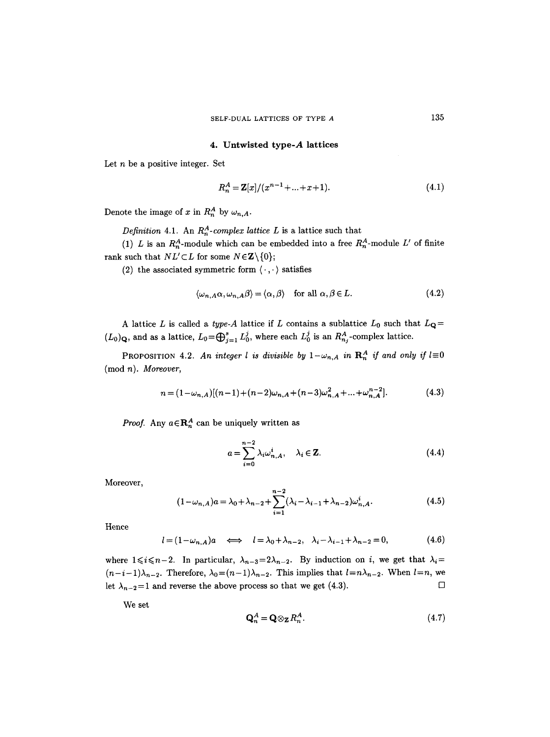# 4. Untwisted **type-A lattices**

Let  $n$  be a positive integer. Set

$$
R_n^A = \mathbf{Z}[x]/(x^{n-1} + ... + x + 1). \tag{4.1}
$$

Denote the image of x in  $R_n^A$  by  $\omega_{n,A}$ .

*Definition* 4.1. An  $R_n^A$ -complex lattice L is a lattice such that

(1) L is an  $R_n^A$ -module which can be embedded into a free  $R_n^A$ -module L' of finite rank such that  $NL' \subset L$  for some  $N \in \mathbb{Z} \backslash \{0\};$ 

(2) the associated symmetric form  $\langle \cdot, \cdot \rangle$  satisfies

$$
\langle \omega_{n,A}\alpha, \omega_{n,A}\beta \rangle = \langle \alpha, \beta \rangle \quad \text{for all } \alpha, \beta \in L. \tag{4.2}
$$

A lattice L is called a *type-A* lattice if L contains a sublattice  $L_0$  such that  $L_{\mathbf{Q}} =$  $(L_0)_{\mathbf{Q}}$ , and as a lattice,  $L_0=\bigoplus_{j=1}^s L_0^j$ , where each  $L_0^j$  is an  $R_{n_j}^A$ -complex lattice.

PROPOSITION 4.2. An integer l is divisible by  $1-\omega_{n,A}$  in  $\mathbf{R}_n^A$  if and only if  $l\equiv 0$ (mod *n). Moreover,* 

$$
n = (1 - \omega_{n,A})[(n-1) + (n-2)\omega_{n,A} + (n-3)\omega_{n,A}^2 + \dots + \omega_{n,A}^{n-2}].
$$
\n(4.3)

*Proof.* Any  $a \in \mathbb{R}_n^A$  can be uniquely written as

$$
a = \sum_{i=0}^{n-2} \lambda_i \omega_{n,A}^i, \quad \lambda_i \in \mathbf{Z}.
$$
 (4.4)

Moreover,

$$
(1 - \omega_{n,A})a = \lambda_0 + \lambda_{n-2} + \sum_{i=1}^{n-2} (\lambda_i - \lambda_{i-1} + \lambda_{n-2})\omega_{n,A}^i.
$$
 (4.5)

Hence

$$
l = (1 - \omega_{n,A})a \iff l = \lambda_0 + \lambda_{n-2}, \quad \lambda_i - \lambda_{i-1} + \lambda_{n-2} = 0,
$$
 (4.6)

where  $1 \le i \le n-2$ . In particular,  $\lambda_{n-3}=2\lambda_{n-2}$ . By induction on i, we get that  $\lambda_i=$  $(n-i-1)\lambda_{n-2}$ . Therefore,  $\lambda_0=(n-1)\lambda_{n-2}$ . This implies that  $l=n\lambda_{n-2}$ . When  $l=n$ , we let  $\lambda_{n-2} = 1$  and reverse the above process so that we get (4.3).

We set

$$
\mathbf{Q}_n^A = \mathbf{Q} \otimes_{\mathbf{Z}} R_n^A. \tag{4.7}
$$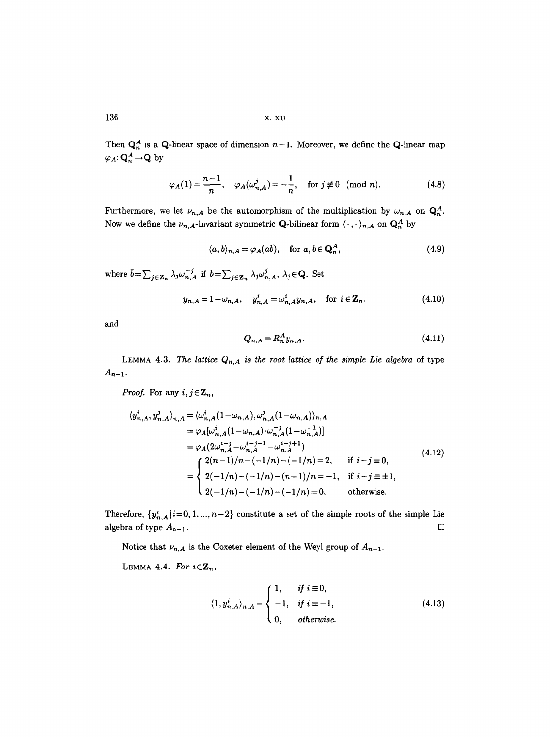136 x. xv

Then  $\mathbf{Q}_n^A$  is a Q-linear space of dimension  $n-1$ . Moreover, we define the Q-linear map  $\varphi_A\colon \mathbf{Q}_n^A \!\to\! \mathbf{Q}$  by

$$
\varphi_A(1) = \frac{n-1}{n}, \quad \varphi_A(\omega_{n,A}^j) = -\frac{1}{n}, \quad \text{for } j \not\equiv 0 \pmod{n}.
$$
 (4.8)

Furthermore, we let  $\nu_{n,A}$  be the automorphism of the multiplication by  $\omega_{n,A}$  on  $\mathbf{Q}_n^A$ . Now we define the  $\nu_{n,A}$ -invariant symmetric **Q**-bilinear form  $\langle \cdot, \cdot \rangle_{n,A}$  on  $\mathbf{Q}_n^A$  by

$$
\langle a, b \rangle_{n, A} = \varphi_A(a\bar{b}), \quad \text{for } a, b \in \mathbf{Q}_n^A,
$$
 (4.9)

where  $\bar{b} = \sum_{j \in \mathbf{Z}_n} \lambda_j \omega_{n,A}^{-j}$  if  $b = \sum_{j \in \mathbf{Z}_n} \lambda_j \omega_{n,A}^{j}$ ,  $\lambda_j \in \mathbf{Q}$ . Set

$$
y_{n,A} = 1 - \omega_{n,A}, \quad y_{n,A}^i = \omega_{n,A}^i y_{n,A}, \quad \text{for } i \in \mathbf{Z}_n.
$$
 (4.10)

and

$$
Q_{n,A} = R_n^A y_{n,A}.\tag{4.11}
$$

LEMMA **4.3.** *The lattice Qn,A is the root lattice of the simple Lie algebra* of type  $A_{n-1}$ .

*Proof.* For any  $i, j \in \mathbb{Z}_n$ ,

$$
\langle y_{n,A}^{i}, y_{n,A}^{j}\rangle_{n,A} = \langle \omega_{n,A}^{i} (1 - \omega_{n,A}), \omega_{n,A}^{j} (1 - \omega_{n,A}) \rangle_{n,A}
$$
  
\n
$$
= \varphi_{A}[\omega_{n,A}^{i} (1 - \omega_{n,A}) \cdot \omega_{n,A}^{-j} (1 - \omega_{n,A}^{-1})]
$$
  
\n
$$
= \varphi_{A}(2\omega_{n,A}^{i-j} - \omega_{n,A}^{i-j-1} - \omega_{n,A}^{i-j+1})
$$
  
\n
$$
= \begin{cases} 2(n-1)/n - (-1/n) - (-1/n) = 2, & \text{if } i-j \equiv 0, \\ 2(-1/n) - (-1/n) - (n-1)/n = -1, & \text{if } i-j \equiv \pm 1, \\ 2(-1/n) - (-1/n) - (-1/n) = 0, & \text{otherwise.} \end{cases}
$$
(4.12)

Therefore,  $\{y_{n,A}^i | i=0,1,...,n-2\}$  constitute a set of the simple roots of the simple Lie algebra of type  $A_{n-1}$ .

Notice that  $\nu_{n,A}$  is the Coxeter element of the Weyl group of  $A_{n-1}$ .

LEMMA 4.4. *For*  $i \in \mathbb{Z}_n$ ,

$$
\langle 1, y_{n,A}^i \rangle_{n,A} = \begin{cases} 1, & \text{if } i \equiv 0, \\ -1, & \text{if } i \equiv -1, \\ 0, & \text{otherwise.} \end{cases}
$$
(4.13)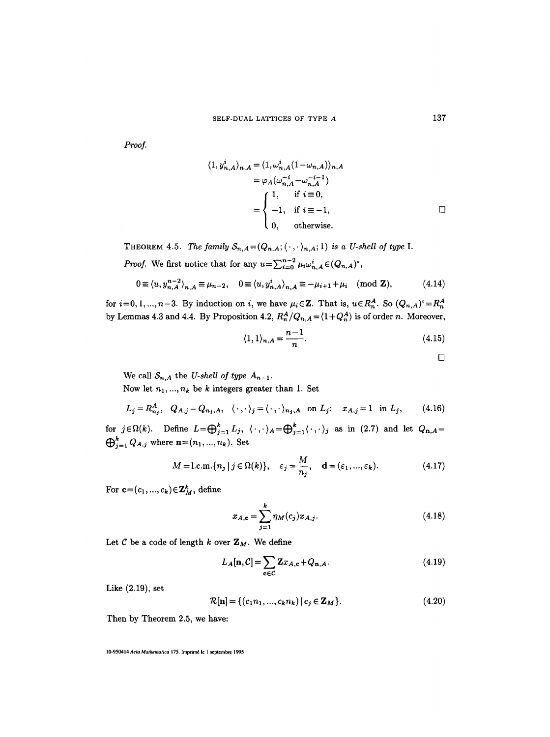*Proof.* 

$$
\langle 1, y_{n,A}^i \rangle_{n,A} = \langle 1, \omega_{n,A}^i (1 - \omega_{n,A}) \rangle_{n,A}
$$
  

$$
= \varphi_A(\omega_{n,A}^{-i} - \omega_{n,A}^{-i-1})
$$
  

$$
= \begin{cases} 1, & \text{if } i \equiv 0, \\ -1, & \text{if } i \equiv -1, \\ 0, & \text{otherwise.} \end{cases}
$$

THEOREM 4.5. *The family*  $S_{n,A} = (Q_{n,A}; \langle \cdot, \cdot \rangle_{n,A}; 1)$  *is a U-shell of type I. Proof.* We first notice that for any  $u = \sum_{i=0}^{n-2} \mu_i \omega_{n,A}^i \in (Q_{n,A})^{\circ}$ ,

$$
0 \equiv \langle u, y_{n,A}^{n-2} \rangle_{n,A} \equiv \mu_{n-2}, \quad 0 \equiv \langle u, y_{n,A}^i \rangle_{n,A} \equiv -\mu_{i+1} + \mu_i \pmod{\mathbf{Z}}, \tag{4.14}
$$

for  $i=0,1, ..., n-3$ . By induction on i, we have  $\mu_i \in \mathbb{Z}$ . That is,  $u \in R_n^A$ . So  $(Q_{n,A})^{\circ} = R_n^A$ by Lemmas 4.3 and 4.4. By Proposition 4.2,  $R_n^A/Q_{n,A} = \langle 1+Q_n^A \rangle$  is of order n. Moreover,

$$
\langle 1, 1 \rangle_{n,A} = \frac{n-1}{n}.\tag{4.15}
$$

 $\Box$ 

We call  $S_{n,A}$  the *U-shell of type*  $A_{n-1}$ .

Now let  $n_1, ..., n_k$  be k integers greater than 1. Set

$$
L_j = R_{n_j}^A, \quad Q_{A,j} = Q_{n_j,A}, \quad \langle \cdot, \cdot \rangle_j = \langle \cdot, \cdot \rangle_{n_j,A} \quad \text{on } L_j; \quad x_{A,j} = 1 \quad \text{in } L_j,\tag{4.16}
$$

for  $j \in \Omega(k)$ . Define  $L = \bigoplus_{i=1}^k L_i$ ,  $\langle \cdot, \cdot \rangle_A = \bigoplus_{i=1}^k \langle \cdot, \cdot \rangle_j$  as in (2.7) and let  $Q_{n,A} =$  $\bigoplus_{j=1}^{k} Q_{A,j}$  where  $\mathbf{n}=(n_1, ..., n_k)$ . Set

$$
M = \text{l.c.m.} \{ n_j \mid j \in \Omega(k) \}, \quad \varepsilon_j = \frac{M}{n_j}, \quad \mathbf{d} = (\varepsilon_1, ..., \varepsilon_k). \tag{4.17}
$$

For  $\mathbf{c}=(c_1,...,c_k)\in\mathbf{Z}_M^k$ , define

$$
x_{A,c} = \sum_{j=1}^{k} \eta_M(c_j) x_{A,j}.
$$
 (4.18)

Let  $C$  be a code of length  $k$  over  $\mathbf{Z}_M$ . We define

$$
L_A[\mathbf{n}, \mathcal{C}] = \sum_{\mathbf{c} \in \mathcal{C}} \mathbf{Z} x_{A, \mathbf{c}} + Q_{\mathbf{n}, A}.
$$
 (4.19)

Like (2.19), set

$$
\mathcal{R}[\mathbf{n}] = \{ (c_1 n_1, ..., c_k n_k) \, | \, c_j \in \mathbf{Z}_M \}. \tag{4.20}
$$

Then by Theorem 2.5, we have:

10-950414 *Acta Mathematica* 175. Imprimé le 1 septembre 1995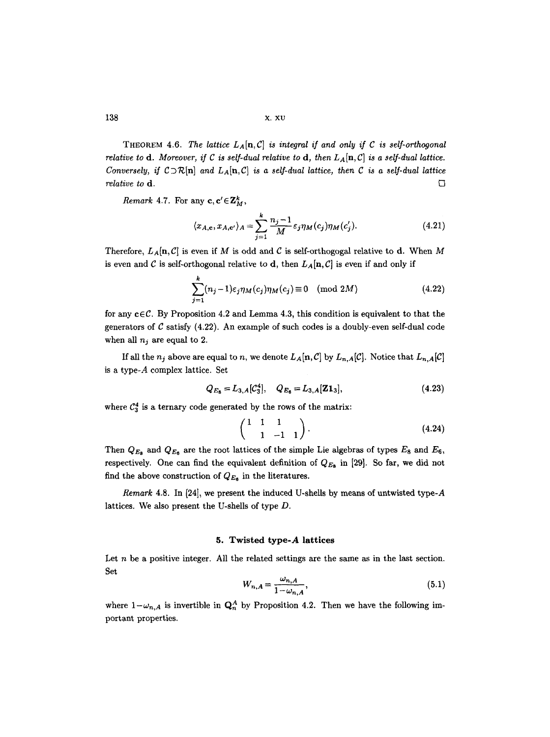138 x. xv

THEOREM 4.6. The lattice  $L_A[n, C]$  is integral if and only if C is self-orthogonal *relative to d. Moreover, if C is self-dual relative to d, then*  $L_A[n,C]$  is a self-dual lattice. *Conversely, if*  $C\supset R[n]$  *and*  $L_A[n, C]$  *is a self-dual lattice, then* C *is a self-dual lattice relative to* **d**.  $\Box$ 

*Remark* 4.7. For any  $c, c' \in \mathbb{Z}_M^k$ ,

$$
\langle x_{A,\mathbf{c}}, x_{A,\mathbf{c}'} \rangle_A = \sum_{j=1}^k \frac{n_j - 1}{M} \varepsilon_j \eta_M(c_j) \eta_M(c'_j). \tag{4.21}
$$

Therefore,  $L_A[n,\mathcal{C}]$  is even if M is odd and C is self-orthogogal relative to d. When M is even and C is self-orthogonal relative to d, then  $L_A[n, C]$  is even if and only if

$$
\sum_{j=1}^{k} (n_j - 1)\varepsilon_j \eta_M(c_j) \eta_M(c_j) \equiv 0 \pmod{2M}
$$
 (4.22)

for any  $c \in \mathcal{C}$ . By Proposition 4.2 and Lemma 4.3, this condition is equivalent to that the generators of  $C$  satisfy (4.22). An example of such codes is a doubly-even self-dual code when all  $n_i$  are equal to 2.

If all the  $n_j$  above are equal to n, we denote  $L_A[n, C]$  by  $L_{n,A}[C]$ . Notice that  $L_{n,A}[C]$ is a type-A complex lattice. Set

$$
Q_{E_8} = L_{3,A}[\mathcal{C}_3^4], \quad Q_{E_6} = L_{3,A}[\mathbf{Z}\mathbf{1}_3], \tag{4.23}
$$

where  $\mathcal{C}_3^4$  is a ternary code generated by the rows of the matrix:

$$
\begin{pmatrix} 1 & 1 & 1 \ 1 & -1 & 1 \end{pmatrix}.
$$
 (4.24)

Then  $Q_{E_8}$  and  $Q_{E_8}$  are the root lattices of the simple Lie algebras of types  $E_8$  and  $E_6$ , respectively. One can find the equivalent definition of  $Q_{E_8}$  in [29]. So far, we did not find the above construction of  $Q_{E_6}$  in the literatures.

*Remark* 4.8. In [24], we present the induced U-shells by means of untwisted type-A lattices. We also present the U-shells of type D.

# **5. Twisted type-A lattices**

Let n be a positive integer. All the related settings are the same as in the last section. Set

$$
W_{n,A} = \frac{\omega_{n,A}}{1 - \omega_{n,A}},\tag{5.1}
$$

where  $1-\omega_{n,A}$  is invertible in  $\mathbf{Q}_n^A$  by Proposition 4.2. Then we have the following important properties.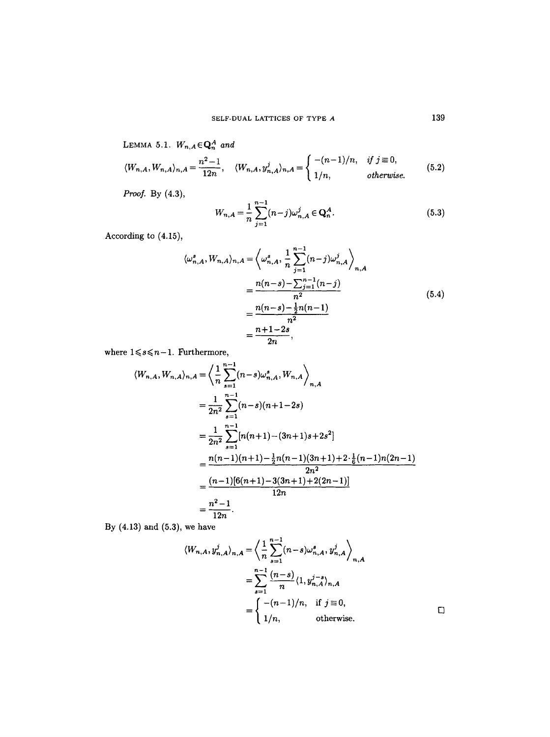LEMMA 5.1. 
$$
W_{n,A} \in \mathbb{Q}_n^A
$$
 and  
\n
$$
\langle W_{n,A}, W_{n,A} \rangle_{n,A} = \frac{n^2 - 1}{12n}, \quad \langle W_{n,A}, y_{n,A}^j \rangle_{n,A} = \begin{cases} -(n-1)/n, & \text{if } j \equiv 0, \\ 1/n, & \text{otherwise.} \end{cases}
$$
\n(5.2)

*Proof.* By (4.3),

$$
W_{n,A} = \frac{1}{n} \sum_{j=1}^{n-1} (n-j)\omega_{n,A}^j \in \mathbf{Q}_n^A.
$$
 (5.3)

According to (4.15),

$$
\langle \omega_{n,A}^{s}, W_{n,A} \rangle_{n,A} = \left\langle \omega_{n,A}^{s}, \frac{1}{n} \sum_{j=1}^{n-1} (n-j) \omega_{n,A}^{j} \right\rangle_{n,A}
$$
  
= 
$$
\frac{n(n-s) - \sum_{j=1}^{n-1} (n-j)}{n^{2}}
$$
  
= 
$$
\frac{n(n-s) - \frac{1}{2}n(n-1)}{n^{2}}
$$
  
= 
$$
\frac{n+1-2s}{2n},
$$
 (5.4)

where  $1 \leq s \leq n-1$ . Furthermore,

$$
\langle W_{n,A}, W_{n,A} \rangle_{n,A} = \left\langle \frac{1}{n} \sum_{s=1}^{n-1} (n-s) \omega_{n,A}^s, W_{n,A} \right\rangle_{n,A}
$$
  
= 
$$
\frac{1}{2n^2} \sum_{s=1}^{n-1} (n-s)(n+1-2s)
$$
  
= 
$$
\frac{1}{2n^2} \sum_{s=1}^{n-1} [n(n+1) - (3n+1)s + 2s^2]
$$
  
= 
$$
\frac{n(n-1)(n+1) - \frac{1}{2}n(n-1)(3n+1) + 2 \cdot \frac{1}{6}(n-1)n(2n-1)}{2n^2}
$$
  
= 
$$
\frac{(n-1)[6(n+1) - 3(3n+1) + 2(2n-1)]}{12n}
$$
  
= 
$$
\frac{n^2 - 1}{12n}.
$$

By (4.13) and (5.3), we have

$$
\langle W_{n,A}, y_{n,A}^j \rangle_{n,A} = \left\langle \frac{1}{n} \sum_{s=1}^{n-1} (n-s) \omega_{n,A}^s, y_{n,A}^j \right\rangle_{n,A}
$$
  
= 
$$
\sum_{s=1}^{n-1} \frac{(n-s)}{n} \langle 1, y_{n,A}^{j-s} \rangle_{n,A}
$$
  
= 
$$
\begin{cases} -(n-1)/n, & \text{if } j \equiv 0, \\ 1/n, & \text{otherwise.} \end{cases}
$$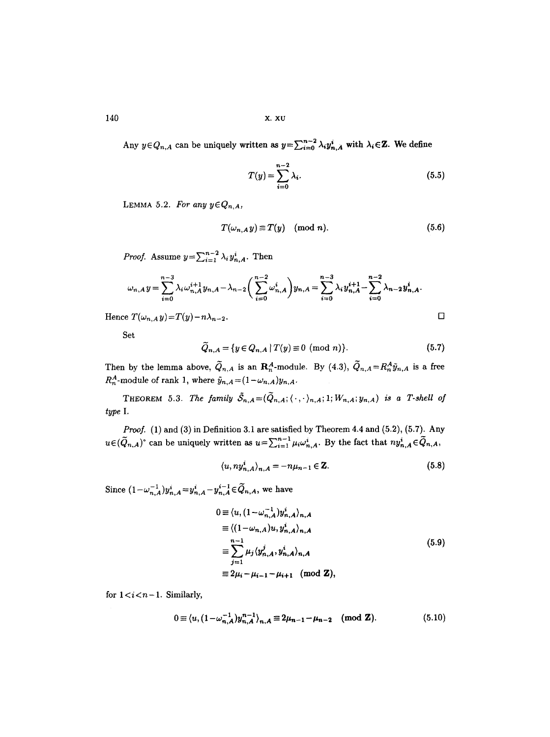140 X. XU

Any  $y \in Q_{n,A}$  can be uniquely written as  $y = \sum_{i=0}^{n-2} \lambda_i y_{n,A}^i$  with  $\lambda_i \in \mathbb{Z}$ . We define

$$
T(y) = \sum_{i=0}^{n-2} \lambda_i.
$$
\n
$$
(5.5)
$$

LEMMA 5.2. For any  $y \in Q_{n,A}$ ,

$$
T(\omega_{n,A} y) \equiv T(y) \pmod{n}.
$$
 (5.6)

*Proof.* Assume  $y = \sum_{i=1}^{n-2} \lambda_i y_{n,A}^i$ . Then

$$
\omega_{n,A} y = \sum_{i=0}^{n-3} \lambda_i \omega_{n,A}^{i+1} y_{n,A} - \lambda_{n-2} \left( \sum_{i=0}^{n-2} \omega_{n,A}^i \right) y_{n,A} = \sum_{i=0}^{n-3} \lambda_i y_{n,A}^{i+1} - \sum_{i=0}^{n-2} \lambda_{n-2} y_{n,A}^i.
$$

Hence  $T(\omega_{n,A} y) = T(y) - n\lambda_{n-2}$ .

Set

$$
\widetilde{Q}_{n,A} = \{ y \in Q_{n,A} \mid T(y) \equiv 0 \pmod{n} \}.
$$
 (5.7)

Then by the lemma above,  $\tilde{Q}_{n,A}$  is an  $\mathbb{R}_n^A$ -module. By (4.3),  $\tilde{Q}_{n,A}=R_n^A\tilde{y}_{n,A}$  is a free  $R_n^A$ -module of rank 1, where  $\tilde{y}_{n,A} = (1 - \omega_{n,A})y_{n,A}$ .

THEOREM 5.3. The family  $\tilde{S}_{n,A}=(\tilde{Q}_{n,A};\langle\cdot,\cdot\rangle_{n,A};1;W_{n,A};y_{n,A})$  is a T-shell of *type I.* 

*Proof.* (1) and (3) in Definition 3.1 are satisfied by Theorem 4.4 and (5.2), (5.7). Any  $u \in (\tilde{Q}_{n,A})^{\circ}$  can be uniquely written as  $u = \sum_{i=1}^{n-1} \mu_i \omega_{n,A}^i$ . By the fact that  $ny_{n,A}^i \in \tilde{Q}_{n,A}$ ,

$$
\langle u, ny_{n,A}^i \rangle_{n,A} = -n\mu_{n-1} \in \mathbf{Z}.\tag{5.8}
$$

Since  $(1 - \omega_{n,A}^{-1}) y_{n,A}^i = y_{n,A}^i - y_{n,A}^{i-1} \in \widetilde{Q}_{n,A}$ , we have

$$
0 \equiv \langle u, (1 - \omega_{n,A}^{-1}) y_{n,A}^{i} \rangle_{n,A} \rangle_{n,A}
$$
  
\n
$$
\equiv \langle (1 - \omega_{n,A}) u, y_{n,A}^{i} \rangle_{n,A} \rangle_{n,A}
$$
  
\n
$$
\equiv \sum_{j=1}^{n-1} \mu_j \langle y_{n,A}^{j}, y_{n,A}^{i} \rangle_{n,A} \rangle_{n,A}
$$
  
\n
$$
\equiv 2\mu_i - \mu_{i-1} - \mu_{i+1} \pmod{\mathbf{Z}},
$$
  
\n(5.9)

for  $1 < i < n-1$ . Similarly,

$$
0 \equiv \langle u, (1 - \omega_{n,A}^{-1}) y_{n,A}^{n-1} \rangle_{n,A} \equiv 2\mu_{n-1} - \mu_{n-2} \pmod{\mathbf{Z}}. \tag{5.10}
$$

 $\Box$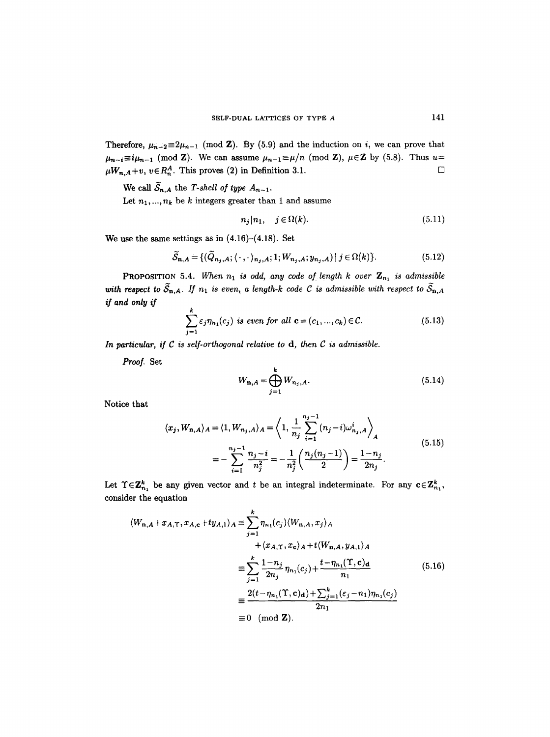Therefore,  $\mu_{n-2} \equiv 2\mu_{n-1} \pmod{Z}$ . By (5.9) and the induction on *i*, we can prove that  $\mu_{n-i} \equiv i\mu_{n-1} \pmod{\mathbf{Z}}$ . We can assume  $\mu_{n-1} \equiv \mu/n \pmod{\mathbf{Z}}$ ,  $\mu \in \mathbf{Z}$  by (5.8). Thus  $u=$  $\mu_{n,A} + v, v \in R_n^A$ . This proves (2) in Definition 3.1.  $\square$ 

We call  $\widetilde{S}_{n,A}$  the *T-shell of type*  $A_{n-1}$ .

Let  $n_1, ..., n_k$  be k integers greater than 1 and assume

$$
n_j|n_1, \quad j \in \Omega(k). \tag{5.11}
$$

We use the same settings as in  $(4.16)-(4.18)$ . Set

$$
\widetilde{S}_{\mathbf{n},A} = \{ (\widetilde{Q}_{n_j,A}; \langle \cdot, \cdot \rangle_{n_j,A}; 1; W_{n_j,A}; y_{n_j,A}) \mid j \in \Omega(k) \}.
$$
\n(5.12)

**PROPOSITION** 5.4. When  $n_1$  is odd, any code of length k over  $\mathbf{Z}_{n_1}$  is admissible with respect to  $\widetilde{S}_{n,A}$ . If  $n_1$  is even, a length-k code C is admissible with respect to  $\widetilde{S}_{n,A}$ *if and only if* 

$$
\sum_{j=1}^{k} \varepsilon_j \eta_{n_1}(c_j) \text{ is even for all } \mathbf{c} = (c_1, ..., c_k) \in \mathcal{C}.
$$
 (5.13)

*In particular, if C is self-orthogonal relative to d, then C is admissible.* 

*Proof.* Set

$$
W_{n,A} = \bigoplus_{j=1}^{k} W_{n_j,A}.
$$
 (5.14)

Notice that

$$
\langle x_j, W_{n,A} \rangle_A = \langle 1, W_{n_j,A} \rangle_A = \left\langle 1, \frac{1}{n_j} \sum_{i=1}^{n_j - 1} (n_j - i) \omega_{n_j,A}^i \right\rangle_A
$$
  
= 
$$
- \sum_{i=1}^{n_j - 1} \frac{n_j - i}{n_j^2} = -\frac{1}{n_j^2} \left( \frac{n_j(n_j - 1)}{2} \right) = \frac{1 - n_j}{2n_j}.
$$
 (5.15)

Let  $\Upsilon \in \mathbb{Z}_{n_1}^k$  be any given vector and t be an integral indeterminate. For any  $c \in \mathbb{Z}_{n_1}^k$ , consider the equation

$$
\langle W_{n,A} + x_{A,\Upsilon}, x_{A,c} + ty_{A,1} \rangle_A \equiv \sum_{j=1}^k \eta_{n_1}(c_j) \langle W_{n,A}, x_j \rangle_A
$$
  

$$
+ \langle x_{A,\Upsilon}, x_{c} \rangle_A + t \langle W_{n,A}, y_{A,1} \rangle_A
$$
  

$$
\equiv \sum_{j=1}^k \frac{1 - n_j}{2n_j} \eta_{n_1}(c_j) + \frac{t - \eta_{n_1}(\Upsilon, c)_d}{n_1}
$$
  

$$
\equiv \frac{2(t - \eta_{n_1}(\Upsilon, c)_d) + \sum_{j=1}^k (\varepsilon_j - n_1) \eta_{n_1}(c_j)}{2n_1}
$$
  

$$
\equiv 0 \pmod{\mathbf{Z}}.
$$
 (5.16)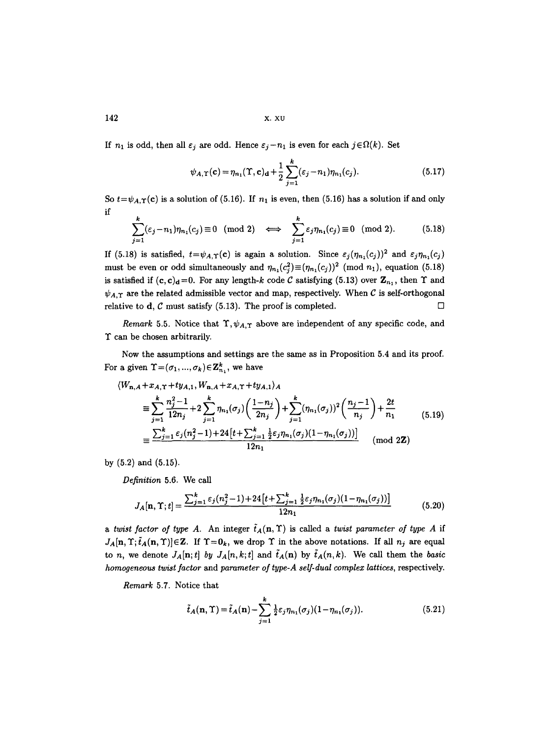$142$  x.  $x\upsilon$ 

If  $n_1$  is odd, then all  $\varepsilon_j$  are odd. Hence  $\varepsilon_j - n_1$  is even for each  $j \in \Omega(k)$ . Set

$$
\psi_{A,\Upsilon}(\mathbf{c}) = \eta_{n_1}(\Upsilon, \mathbf{c})_{\mathbf{d}} + \frac{1}{2} \sum_{j=1}^{k} (\varepsilon_j - n_1) \eta_{n_1}(c_j). \tag{5.17}
$$

So  $t=\psi_{A,\Upsilon}(\mathbf{c})$  is a solution of (5.16). If  $n_1$  is even, then (5.16) has a solution if and only if

$$
\sum_{j=1}^{k} (\varepsilon_j - n_1) \eta_{n_1}(c_j) \equiv 0 \pmod{2} \iff \sum_{j=1}^{k} \varepsilon_j \eta_{n_1}(c_j) \equiv 0 \pmod{2}.
$$
 (5.18)

If (5.18) is satisfied,  $t=\psi_{A,\Upsilon}(\mathbf{c})$  is again a solution. Since  $\varepsilon_j(\eta_{n_1}(c_j))^2$  and  $\varepsilon_j\eta_{n_1}(c_j)$ must be even or odd simultaneously and  $\eta_{n_1}(c_i^2) \equiv (\eta_{n_1}(c_i))^2$  (mod  $n_1$ ), equation (5.18) is satisfied if  $(c, c)<sub>d</sub>=0$ . For any length-k code C satisfying (5.13) over  $\mathbb{Z}_{n_1}$ , then  $\Upsilon$  and  $\psi_{A,\Upsilon}$  are the related admissible vector and map, respectively. When C is self-orthogonal relative to **d**, C must satisfy (5.13). The proof is completed.  $\Box$ 

*Remark* 5.5. Notice that  $\Upsilon$ ,  $\psi_{A,\Upsilon}$  above are independent of any specific code, and T can be chosen arbitrarily.

Now the assumptions and settings are the same as in Proposition 5.4 and its proof. For a given  $\Upsilon = (\sigma_1, ..., \sigma_k) \in \mathbb{Z}_{n_1}^k$ , we have

$$
\langle W_{n,A} + x_{A,\Upsilon} + ty_{A,1}, W_{n,A} + x_{A,\Upsilon} + ty_{A,1} \rangle_A
$$
\n
$$
\equiv \sum_{j=1}^k \frac{n_j^2 - 1}{12n_j} + 2 \sum_{j=1}^k \eta_{n_1}(\sigma_j) \left( \frac{1 - n_j}{2n_j} \right) + \sum_{j=1}^k (\eta_{n_1}(\sigma_j))^2 \left( \frac{n_j - 1}{n_j} \right) + \frac{2t}{n_1}
$$
\n
$$
\equiv \frac{\sum_{j=1}^k \varepsilon_j (n_j^2 - 1) + 24 \left[ t + \sum_{j=1}^k \frac{1}{2} \varepsilon_j \eta_{n_1}(\sigma_j) (1 - \eta_{n_1}(\sigma_j)) \right]}{12n_1} \pmod{2\mathbf{Z}}
$$
\n(mod 2\mathbf{Z})

by (5.2) and (5.15).

*Definition* 5.6. We call

$$
J_A[\mathbf{n}, \Upsilon; t] = \frac{\sum_{j=1}^k \varepsilon_j (n_j^2 - 1) + 24 \left[ t + \sum_{j=1}^k \frac{1}{2} \varepsilon_j \eta_{n_1}(\sigma_j) (1 - \eta_{n_1}(\sigma_j)) \right]}{12n_1}
$$
(5.20)

*a twist factor of type A.* An integer  $\tilde{t}_A(n, \Upsilon)$  is called a *twist parameter of type A* if  $J_A[n, T; \tilde{t}_A(n, T)] \in \mathbb{Z}$ . If  $T = 0_k$ , we drop  $\Upsilon$  in the above notations. If all  $n_j$  are equal to *n*, we denote  $J_A[n;t]$  by  $J_A[n,k;t]$  and  $\tilde{t}_A(n)$  by  $\tilde{t}_A(n,k)$ . We call them the *basic homogeneous twist factor* and *parameter of type-A self-dual complex lattices,* respectively.

*Remark* 5.7. Notice that

$$
\tilde{t}_A(\mathbf{n}, \Upsilon) = \tilde{t}_A(\mathbf{n}) - \sum_{j=1}^k \frac{1}{2} \varepsilon_j \eta_{n_1}(\sigma_j) (1 - \eta_{n_1}(\sigma_j)). \tag{5.21}
$$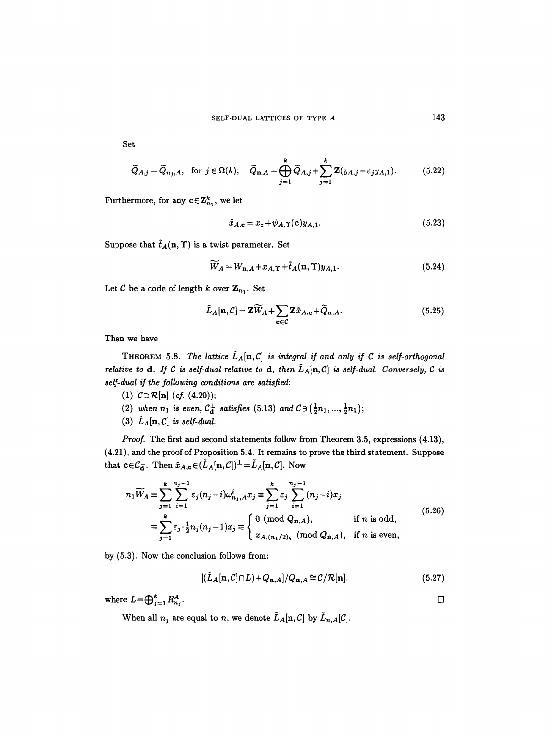Set

$$
\widetilde{Q}_{A,j} = \widetilde{Q}_{n_j,A}, \text{ for } j \in \Omega(k); \quad \widetilde{Q}_{n,A} = \bigoplus_{j=1}^k \widetilde{Q}_{A,j} + \sum_{j=1}^k \mathbf{Z}(y_{A,j} - \varepsilon_j y_{A,1}). \tag{5.22}
$$

Furthermore, for any  $c \in \mathbb{Z}_{n_1}^k$ , we let

$$
\tilde{x}_{A,\mathbf{c}} = x_{\mathbf{c}} + \psi_{A,\Upsilon}(\mathbf{c})y_{A,1}.\tag{5.23}
$$

Suppose that  $\tilde{t}_A(n, \Upsilon)$  is a twist parameter. Set

$$
\widetilde{W}_A = W_{\mathbf{n},A} + x_{A,\Upsilon} + \tilde{t}_A(\mathbf{n},\Upsilon) y_{A,1}.
$$
\n(5.24)

Let C be a code of length k over  $\mathbf{Z}_{n_1}$ . Set

$$
\tilde{L}_A[\mathbf{n}, \mathcal{C}] = \mathbf{Z}\widetilde{W}_A + \sum_{\mathbf{c} \in \mathcal{C}} \mathbf{Z}\tilde{x}_{A, \mathbf{c}} + \widetilde{Q}_{\mathbf{n}, A}.
$$
\n(5.25)

Then we have

THEOREM 5.8. The lattice  $\tilde{L}_A[n,C]$  is integral if and only if C is self-orthogonal *relative to d. If C is self-dual relative to d, then*  $\tilde{L}_A[n,C]$  *is self-dual. Conversely, C is self-dual if the following conditions are satisfied:* 

- (1)  $C \supset \mathcal{R}[n]$  *(cf. (4.20))*;
- (2) when  $n_1$  is even,  $C_{\bf d}^{\perp}$  satisfies (5.13) and  $C \ni (\frac{1}{2}n_1, ..., \frac{1}{2}n_1)$ ;
- (3)  $\tilde{L}_A[\mathbf{n}, \mathcal{C}]$  *is self-dual.*

*Proof.* The first and second statements follow from Theorem 3.5, expressions (4.13), (4.21), and the proof of Proposition 5.4. It remains to prove the third statement. Suppose that  $c \in C_d^{\perp}$ . Then  $\tilde{x}_{A,c} \in (\tilde{L}_A[n, C])^{\perp} = \tilde{L}_A[n, C]$ . Now

$$
n_1 \widetilde{W}_A \equiv \sum_{j=1}^k \sum_{i=1}^{n_j - 1} \varepsilon_j (n_j - i) \omega_{n_j, A}^i x_j \equiv \sum_{j=1}^k \varepsilon_j \sum_{i=1}^{n_j - 1} (n_j - i) x_j
$$
  

$$
\equiv \sum_{j=1}^k \varepsilon_j \cdot \frac{1}{2} n_j (n_j - 1) x_j \equiv \begin{cases} 0 \pmod{Q_{n, A}}, & \text{if } n \text{ is odd}, \\ x_{A, (n_1/2)_k} \pmod{Q_{n, A}}, & \text{if } n \text{ is even}, \end{cases}
$$
(5.26)

by (5.3). Now the conclusion follows from:

$$
[(\tilde{L}_A[\mathbf{n}, \mathcal{C}]\cap L) + Q_{\mathbf{n},A}]/Q_{\mathbf{n},A} \cong \mathcal{C}/\mathcal{R}[\mathbf{n}],
$$
\n(5.27)

where  $L=\bigoplus_{j=1}^k R_{n_j}^A$ .

When all  $n_j$  are equal to n, we denote  $\tilde{L}_A[n,C]$  by  $\tilde{L}_{n,A}[C]$ .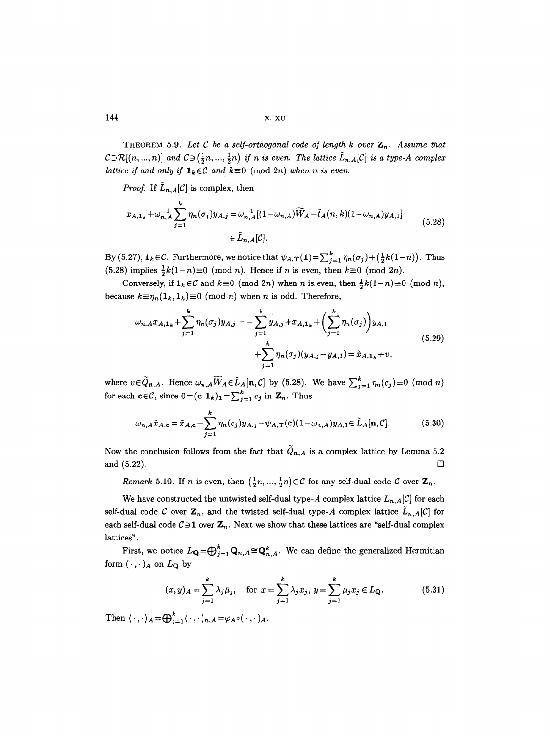THEOREM 5.9. Let C be a self-orthogonal code of length k over  $\mathbb{Z}_n$ . Assume that  $C\supset R[(n, ..., n)]$  and  $C\supset (\frac{1}{2}n, ..., \frac{1}{2}n)$  if n is even. The lattice  $\tilde{L}_{n,A}[C]$  is a type-A complex *lattice if and only if*  $\mathbf{1}_k \in \mathcal{C}$  *and*  $k \equiv 0 \pmod{2n}$  *when n is even.* 

*Proof.* If  $\tilde{L}_{n,A}[\mathcal{C}]$  is complex, then

$$
x_{A,1_k} + \omega_{n,A}^{-1} \sum_{j=1}^k \eta_n(\sigma_j) y_{A,j} = \omega_{n,A}^{-1} [(1 - \omega_{n,A}) \widetilde{W}_A - \tilde{t}_A(n,k)(1 - \omega_{n,A}) y_{A,1}]
$$
  
 
$$
\in \tilde{L}_{n,A}[C]. \tag{5.28}
$$

By (5.27),  $\mathbf{1}_k \in \mathcal{C}$ . Furthermore, we notice that  $\psi_{A,\Upsilon}(1) = \sum_{j=1}^k \eta_n(\sigma_j) + \left(\frac{1}{2}k(1-n)\right)$ . Thus (5.28) implies  $\frac{1}{2}k(1-n)\equiv 0 \pmod{n}$ . Hence if n is even, then  $k\equiv 0 \pmod{2n}$ .

Conversely, if  $\mathbf{1}_k \in \mathcal{C}$  and  $k \equiv 0 \pmod{2n}$  when n is even, then  $\frac{1}{2}k(1-n) \equiv 0 \pmod{n}$ , because  $k \equiv \eta_n(1_k, 1_k) \equiv 0 \pmod{n}$  when *n* is odd. Therefore,

$$
\omega_{n,A} x_{A,1_k} + \sum_{j=1}^k \eta_n(\sigma_j) y_{A,j} = -\sum_{j=1}^k y_{A,j} + x_{A,1_k} + \left(\sum_{j=1}^k \eta_n(\sigma_j)\right) y_{A,1} + \sum_{j=1}^k \eta_n(\sigma_j) (y_{A,j} - y_{A,1}) = \tilde{x}_{A,1_k} + v,
$$
\n(5.29)

where  $v \in \widetilde{Q}_{n,A}$ . Hence  $\omega_{n,A} \widetilde{W}_A \in \widetilde{L}_A[n,C]$  by (5.28). We have  $\sum_{j=1}^k \eta_n(c_j) \equiv 0 \pmod{n}$ for each  $c \in \mathcal{C}$ , since  $0 = (c, 1_k)_1 = \sum_{j=1}^k c_j$  in  $\mathbf{Z}_n$ . Thus

$$
\omega_{n,A}\tilde{x}_{A,c} = \tilde{x}_{A,c} - \sum_{j=1}^{k} \eta_n(c_j) y_{A,j} - \psi_{A,\Upsilon}(c) (1 - \omega_{n,A}) y_{A,1} \in \tilde{L}_A[n,C].
$$
 (5.30)

Now the conclusion follows from the fact that  $\widetilde{Q}_{n,A}$  is a complex lattice by Lemma 5.2 and  $(5.22)$ .

*Remark* 5.10. If *n* is even, then  $(\frac{1}{2}n, ..., \frac{1}{2}n) \in C$  for any self-dual code C over  $\mathbb{Z}_n$ .

We have constructed the untwisted self-dual type-A complex lattice  $L_{n,A}[\mathcal{C}]$  for each self-dual code C over  $\mathbf{Z}_n$ , and the twisted self-dual type-A complex lattice  $\tilde{L}_{n,A}[\mathcal{C}]$  for each self-dual code  $C \ni 1$  over  $\mathbb{Z}_n$ . Next we show that these lattices are "self-dual complex lattices".

First, we notice  $L_{\mathbf{Q}} = \bigoplus_{j=1}^{k} \mathbf{Q}_{n,A} \cong \mathbf{Q}_{n,A}^{k}$ . We can define the generalized Hermitian form  $(\cdot,\cdot)_A$  on  $L_{\mathbf{Q}}$  by

$$
(x,y)_A = \sum_{j=1}^k \lambda_j \bar{\mu}_j, \quad \text{for } x = \sum_{j=1}^k \lambda_j x_j, \ y = \sum_{j=1}^k \mu_j x_j \in L_{\mathbf{Q}}.
$$
 (5.31)

Then  $\langle \cdot, \cdot \rangle_A = \bigoplus_{i=1}^k \langle \cdot, \cdot \rangle_{n,A} = \varphi_{A} \circ (\cdot, \cdot)_A$ .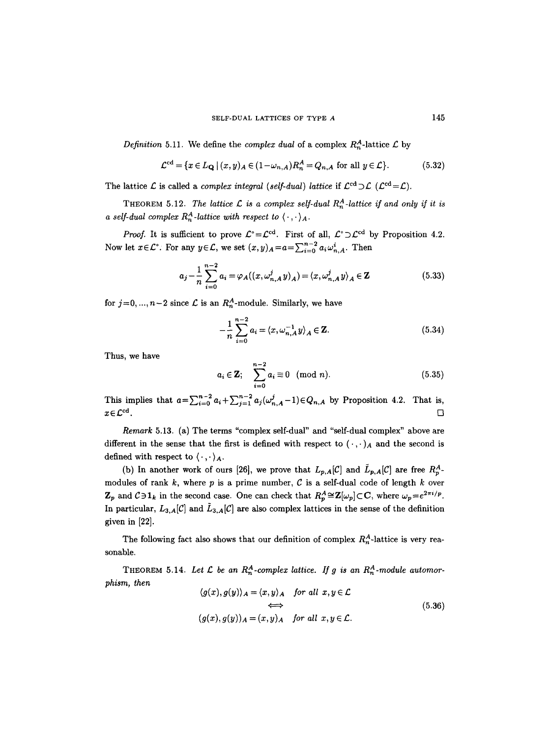*Definition* 5.11. We define the *complex dual* of a complex  $R_n^A$ -lattice  $\mathcal L$  by

$$
\mathcal{L}^{\text{cd}} = \{ x \in L_{\mathbf{Q}} \mid (x, y)_{A} \in (1 - \omega_{n, A}) R_{n}^{A} = Q_{n, A} \text{ for all } y \in \mathcal{L} \}. \tag{5.32}
$$

The lattice  $\mathcal L$  is called a *complex integral (self-dual) lattice* if  $\mathcal L^{cd} \supset \mathcal L$   $(\mathcal L^{cd} = \mathcal L)$ .

THEOREM 5.12. *The lattice L is a complex self-dual*  $R_n^A$ *-lattice if and only if it is a self-dual complex R<sub>n</sub><sup>4</sup>-lattice with respect to*  $\langle \cdot, \cdot \rangle_A$ .

*Proof.* It is sufficient to prove  $\mathcal{L}^{\circ} = \mathcal{L}^{\text{cd}}$ . First of all,  $\mathcal{L}^{\circ} \supset \mathcal{L}^{\text{cd}}$  by Proposition 4.2. Now let  $x \in \mathcal{L}^{\circ}$ . For any  $y \in \mathcal{L}$ , we set  $(x, y)_{A} = a = \sum_{i=0}^{n-2} a_i \omega_{n,A}^i$ . Then

$$
a_j - \frac{1}{n} \sum_{i=0}^{n-2} a_i = \varphi_A((x, \omega_{n,A}^j y)_A) = \langle x, \omega_{n,A}^j y \rangle_A \in \mathbf{Z}
$$
 (5.33)

for  $j=0, ..., n-2$  since  $\mathcal L$  is an  $R_n^A$ -module. Similarly, we have

$$
-\frac{1}{n}\sum_{i=0}^{n-2} a_i = \langle x, \omega_{n,A}^{-1} y \rangle_A \in \mathbb{Z}.
$$
 (5.34)

Thus, we have

$$
a_i \in \mathbf{Z}; \quad \sum_{i=0}^{n-2} a_i \equiv 0 \pmod{n}.
$$
 (5.35)

This implies that  $a=\sum_{i=0}^{n-2} a_i+\sum_{j=1}^{n-2} a_j(\omega_{n,A}^j-1) \in Q_{n,A}$  by Proposition 4.2. That is,  $x \in \mathcal{L}^{\mathrm{cd}}$ .

*Remark* 5.13. (a) The terms "complex self-dual" and "self-dual complex" above are different in the sense that the first is defined with respect to  $(\cdot,\cdot)_A$  and the second is defined with respect to  $\langle \cdot, \cdot \rangle_A$ .

(b) In another work of ours [26], we prove that  $L_{p,A}[\mathcal{C}]$  and  $\tilde{L}_{p,A}[\mathcal{C}]$  are free  $R_n^A$ . modules of rank  $k$ , where  $p$  is a prime number,  $C$  is a self-dual code of length  $k$  over  $\mathbf{Z}_p$  and  $C \ni 1_k$  in the second case. One can check that  $R_p^A \cong \mathbf{Z}[\omega_p] \subset \mathbf{C}$ , where  $\omega_p = e^{2\pi i/p}$ . In particular,  $L_{3,A}[\mathcal{C}]$  and  $\tilde{L}_{3,A}[\mathcal{C}]$  are also complex lattices in the sense of the definition given in [22].

The following fact also shows that our definition of complex  $R_n^A$ -lattice is very reasonable.

THEOREM 5.14. Let  $\mathcal L$  be an  $R_n^A$ -complex lattice. If g is an  $R_n^A$ -module automor*phism, then* 

$$
\langle g(x), g(y) \rangle_A = \langle x, y \rangle_A \quad \text{for all } x, y \in \mathcal{L}
$$
  

$$
\iff
$$
  

$$
(g(x), g(y))_A = (x, y)_A \quad \text{for all } x, y \in \mathcal{L}.
$$
  
(5.36)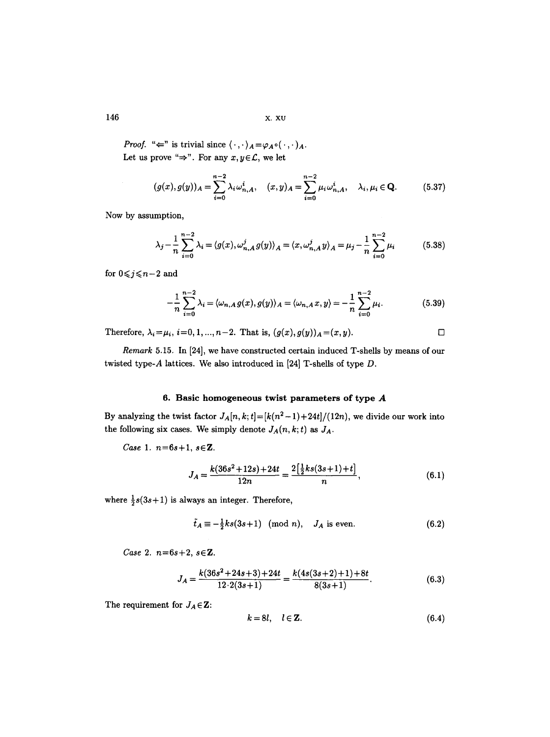146 x. xu

*Proof.* " $\Leftarrow$ " is trivial since  $\langle \cdot, \cdot \rangle_A = \varphi_A \circ (\cdot, \cdot)_A$ . Let us prove " $\Rightarrow$ ". For any  $x, y \in \mathcal{L}$ , we let

$$
(g(x), g(y))_A = \sum_{i=0}^{n-2} \lambda_i \omega_{n,A}^i, \quad (x, y)_A = \sum_{i=0}^{n-2} \mu_i \omega_{n,A}^i, \quad \lambda_i, \mu_i \in \mathbf{Q}.\tag{5.37}
$$

Now by assumption,

$$
\lambda_j - \frac{1}{n} \sum_{i=0}^{n-2} \lambda_i = \langle g(x), \omega_{n,A}^j g(y) \rangle_A = \langle x, \omega_{n,A}^j y \rangle_A = \mu_j - \frac{1}{n} \sum_{i=0}^{n-2} \mu_i
$$
 (5.38)

for  $0 \leq j \leq n-2$  and

$$
-\frac{1}{n}\sum_{i=0}^{n-2}\lambda_i = \langle \omega_{n,A}g(x),g(y)\rangle_A = \langle \omega_{n,A}x,y\rangle = -\frac{1}{n}\sum_{i=0}^{n-2}\mu_i.
$$
 (5.39)

Therefore,  $\lambda_i = \mu_i$ ,  $i = 0, 1, ..., n-2$ . That is,  $(g(x), g(y))_A = (x, y)$ .

*Remark* 5.15. In [24], we have constructed certain induced T-shells by means of our twisted type-A lattices. We also introduced in [24] T-shells of type D.

# **6. Basic homogeneous twist parameters of type A**

By analyzing the twist factor  $J_A[n, k; t] = [k(n^2-1)+24t]/(12n)$ , we divide our work into the following six cases. We simply denote  $J_A(n, k; t)$  as  $J_A$ .

*Case 1. n=6s+l, sEZ.* 

$$
J_A = \frac{k(36s^2 + 12s) + 24t}{12n} = \frac{2\left[\frac{1}{2}ks(3s + 1) + t\right]}{n},\tag{6.1}
$$

where  $\frac{1}{2}s(3s+1)$  is always an integer. Therefore,

$$
\tilde{t}_A \equiv -\frac{1}{2}ks(3s+1) \pmod{n}, \quad J_A \text{ is even.} \tag{6.2}
$$

*Case 2. n=6s+2, sEZ.* 

$$
J_A = \frac{k(36s^2 + 24s + 3) + 24t}{12 \cdot 2(3s + 1)} = \frac{k(4s(3s + 2) + 1) + 8t}{8(3s + 1)}.
$$
(6.3)

The requirement for  $J_A \in \mathbf{Z}$ :

$$
k = 8l, \quad l \in \mathbb{Z}.\tag{6.4}
$$

 $\mathcal{L}^{\mathcal{L}}$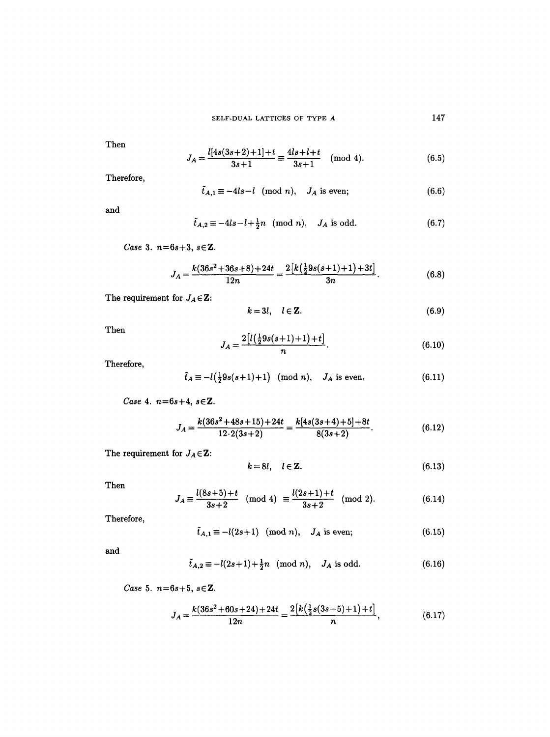Then

$$
J_A = \frac{l[4s(3s+2)+1]+t}{3s+1} \equiv \frac{4ls+l+t}{3s+1} \pmod{4}.
$$
 (6.5)

Therefore,

$$
\tilde{t}_{A,1} \equiv -4ls - l \pmod{n}, \quad J_A \text{ is even}; \tag{6.6}
$$

and

$$
\tilde{t}_{A,2} \equiv -4ls - l + \frac{1}{2}n \pmod{n}, \quad J_A \text{ is odd.} \tag{6.7}
$$

*Case* 3. *n*=6s+3, s∈Z.

$$
J_A = \frac{k(36s^2 + 36s + 8) + 24t}{12n} = \frac{2[k(\frac{1}{2}9s(s+1) + 1) + 3t]}{3n}.
$$
 (6.8)

The requirement for  $J_A \in \mathbf{Z}$ :

$$
k = 3l, \quad l \in \mathbb{Z}.\tag{6.9}
$$

Then

$$
J_A = \frac{2\left[l\left(\frac{1}{2}9s(s+1)+1\right)+t\right]}{n}.\tag{6.10}
$$

Therefore,

$$
\tilde{t}_A \equiv -l(\frac{1}{2}9s(s+1)+1) \pmod{n}, \quad J_A \text{ is even.}
$$
 (6.11)

*Case* 4. n=6s+4, sEZ.

$$
J_A = \frac{k(36s^2 + 48s + 15) + 24t}{12 \cdot 2(3s + 2)} = \frac{k[4s(3s + 4) + 5] + 8t}{8(3s + 2)}.
$$
(6.12)

The requirement for  $J_A \in \mathbf{Z}$ :

$$
k = 8l, \quad l \in \mathbb{Z}.
$$

Then

$$
J_A \equiv \frac{l(8s+5)+t}{3s+2} \pmod{4} \equiv \frac{l(2s+1)+t}{3s+2} \pmod{2}.
$$
 (6.14)

Therefore,

$$
\tilde{t}_{A,1} \equiv -l(2s+1) \pmod{n}, \quad J_A \text{ is even}; \tag{6.15}
$$

and

$$
\tilde{t}_{A,2} \equiv -l(2s+1) + \frac{1}{2}n \pmod{n}, \quad J_A \text{ is odd.} \tag{6.16}
$$

*Case* 5.  $n = 6s + 5$ ,  $s \in \mathbb{Z}$ .

$$
J_A = \frac{k(36s^2 + 60s + 24) + 24t}{12n} = \frac{2[k(\frac{1}{2}s(3s + 5) + 1) + t]}{n},
$$
(6.17)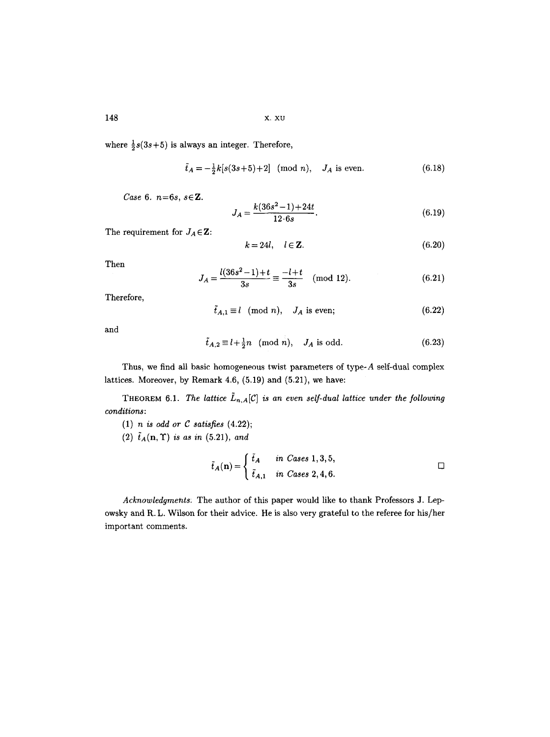148 x. xu

where  $\frac{1}{2}s(3s+5)$  is always an integer. Therefore,

$$
\tilde{t}_A = -\frac{1}{2}k[s(3s+5)+2] \pmod{n}, \quad J_A \text{ is even.} \tag{6.18}
$$

*Case 6. n=6s, sEZ.* 

$$
J_A = \frac{k(36s^2 - 1) + 24t}{12 \cdot 6s}.
$$
\n(6.19)

The requirement for  $J_A \in \mathbf{Z}$ :

$$
k = 24l, \quad l \in \mathbf{Z}.\tag{6.20}
$$

Then

$$
J_A = \frac{l(36s^2 - 1) + t}{3s} \equiv \frac{-l + t}{3s} \pmod{12}.
$$
 (6.21)

Therefore,

$$
\tilde{t}_{A,1} \equiv l \pmod{n}, \quad J_A \text{ is even}; \tag{6.22}
$$

and

$$
\tilde{t}_{A,2} \equiv l + \frac{1}{2}n \pmod{n}, \quad J_A \text{ is odd.} \tag{6.23}
$$

Thus, we find all basic homogeneous twist parameters of type-A self-dual complex lattices. Moreover, by Remark 4.6, (5.19) and (5.21), we have:

 $\overline{a}$ 

THEOREM 6.1. *The lattice*  $\tilde{L}_{n,A}[\mathcal{C}]$  *is an even self-dual lattice under the following conditions:* 

- (1) *n is odd or C satisfies* (4.22);
- $(2)$   $\tilde{t}_A(n, \Upsilon)$  *is as in* (5.21), and

$$
\tilde{t}_A(\mathbf{n}) = \begin{cases} \tilde{t}_A & \text{in Cases 1, 3, 5,} \\ \tilde{t}_{A,1} & \text{in Cases 2, 4, 6.} \end{cases}
$$

*Acknowledgments:* The author of this paper would like to thank Professors J. Lepowsky and R. L. Wilson for their advice. He is also very grateful to the referee for his/her important comments.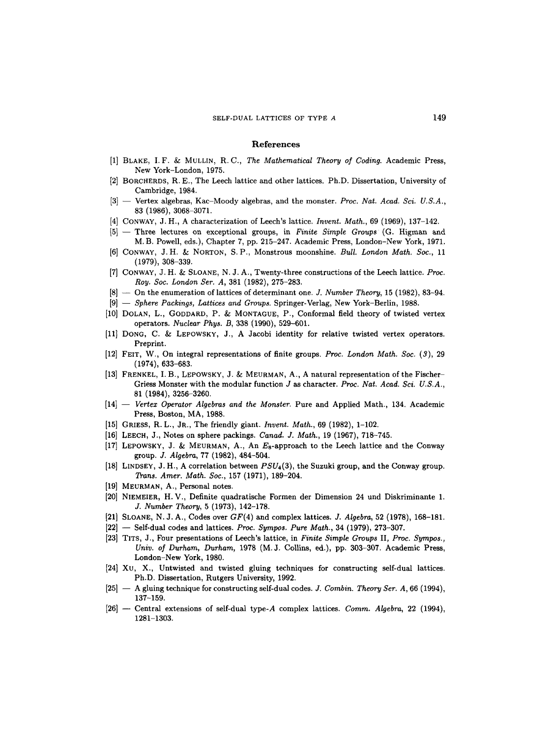#### **References**

- [1] BLAKE, I.F. & MULLIN, R.C., *The Mathematical Theory of Coding.* Academic Press, New York-London, 1975.
- [2] BORCHERDS, R. E., The Leech lattice and other lattices. Ph.D. Dissertation, University of Cambridge, 1984.
- [3] -- Vertex algebras, Kac-Moody algebras, and the monster. *Proc. Nat. Acad. Sci. U.S.A.*, 83 (1986), 3068-3071.
- [4] CONWAY, J. H., A characterization of Leech's lattice. *Invent. Math.,* 69 (1969), 137-142.
- [5] -- Three lectures on exceptional groups, in *Finite Simple Groups(G.* Higman and M.B. Powell, eds.), Chapter 7, pp. 215-247. Academic Press, London-New York, 1971.
- [6] CONWAY, J.H. & NORTON, S.P., Monstrous moonshine. *Bull. London Math. Soc.,* 11 (1979), 308-339.
- [7] CONWAY, J. H. & SLOANE, N. J. A., Twenty-three constructions of the Leech lattice. *Proc. Roy. Soc. London Ser. A,* 381 (1982), 275-283.
- [8] -- On the enumeration of lattices of determinant one. *J. Number Theory,* 15 (1982), 83-94.
- [9] -- *Sphere Packings, Lattices and Groups.* Springer-Verlag, New York-Berlin, 1988.
- [10] DOLAN, L., GODDARD, P. & MONTAGUE, P., Conformal field theory of twisted vertex operators. *Nuclear Phys. B,* 338 (1990), 529-601.
- [11] DONG, C. & LEPOWSKY, J., A Jacobi identity for relative twisted vertex operators. Preprint.
- [12] FEIT, W., On integral representations of finite groups. *Proc. London Math. Soc. (3),* 29 (1974), 633-683.
- [13] FRENKEL, I. B., LEPOWSKY, J. & MEURMAN, A., A natural representation of the Fischer-Griess Monster with the modular function J as character. *Proc. Nat. Acad. Sci. U.S.A.,*  81 (1984), 3256-3260.
- [14] -- *Vertex Operator Algebras and the Monster.* Pure and Applied Math., 134. Academic Press, Boston, MA, 1988.
- [15] GRIESS, R.L., JR., The friendly giant. *Invent. Math.,* 69 (1982), 1-102.
- [16] LEECH, J., Notes on sphere packings. *Canad. J. Math.,* 19 (1967), 718-745.
- [17] LEPOWSKY, J. & MEURMAN, A., An  $E_8$ -approach to the Leech lattice and the Conway group. *J. Algebra,* 77 (1982), 484-504.
- [18] LINDSEY, J. H., A correlation between *PSU4(3),* the Suzuki group, and the Conway group. *Trans. Amer. Math. Soc.,* 157 (1971), 189-204.
- [19] MEURMAN, A., Personal notes.
- [20] NIEMEIER, H.V., Definite quadratische Formen der Dimension 24 und Diskriminante 1. *J. Number Theory,* 5 (1973), 142-178.
- [21] SLOANE, N. J. A., Codes over GF(4) and complex lattices. *J. Algebra,* 52 (1978), 168-181.
- [22] Self-dual codes and lattices. *Proc. Sympos. Pure Math.*, 34 (1979), 273-307.
- [23] TITS, J., Four presentations of Leech's lattice, in *Finite Simple Groups* II, *Proc. Sympos., Univ. of Durham, Durham,* 1978 (M. J. Collins, ed.), pp. 303-307. Academic Press, London-New York, 1980.
- [24] Xu, X., Untwisted and twisted gluing techniques for constructing self-dual lattices. Ph.D. Dissertation, Rutgers University, 1992.
- [25l -- A gluing technique for constructing self-dual codes. *J. Combin. Theory Ser. A,* 66 (1994), 137-159.
- [26] -- Central extensions of self-dual type-A complex lattices. *Comm. Algebra,* 22 (1994), 1281-1303.